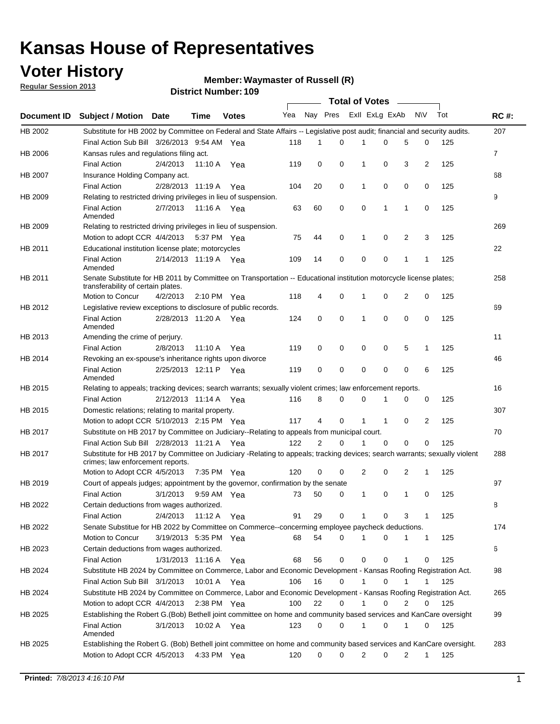## **Voter History**

**Regular Session 2013**

#### **Waymaster of Russell (R)**

|             |                                                                                                                                                                |                       |               | די הסעוווטנו ועוווטרי |     |                |          | Total of Votes – |              |             |                |     |             |
|-------------|----------------------------------------------------------------------------------------------------------------------------------------------------------------|-----------------------|---------------|-----------------------|-----|----------------|----------|------------------|--------------|-------------|----------------|-----|-------------|
| Document ID | <b>Subject / Motion Date</b>                                                                                                                                   |                       | Time          | <b>Votes</b>          | Yea | Nay Pres       |          | Exll ExLg ExAb   |              |             | <b>NV</b>      | Tot | <b>RC#:</b> |
| HB 2002     | Substitute for HB 2002 by Committee on Federal and State Affairs -- Legislative post audit; financial and security audits.                                     |                       |               |                       |     |                |          |                  |              |             |                |     | 207         |
|             | Final Action Sub Bill 3/26/2013 9:54 AM Yea                                                                                                                    |                       |               |                       | 118 | 1              | $\Omega$ | 1                | $\Omega$     | 5           | 0              | 125 |             |
| HB 2006     | Kansas rules and regulations filing act.                                                                                                                       |                       |               |                       |     |                |          |                  |              |             |                |     | 7           |
|             | <b>Final Action</b>                                                                                                                                            | 2/4/2013              | 11:10 A Yea   |                       | 119 | 0              | 0        | 1                | 0            | 3           | $\overline{2}$ | 125 |             |
| HB 2007     | Insurance Holding Company act.                                                                                                                                 |                       |               |                       |     |                |          |                  |              |             |                |     | 68          |
|             | <b>Final Action</b>                                                                                                                                            | 2/28/2013 11:19 A     |               | Yea                   | 104 | 20             | 0        | 1                | 0            | 0           | 0              | 125 |             |
| HB 2009     | Relating to restricted driving privileges in lieu of suspension.                                                                                               |                       |               |                       |     |                |          |                  |              |             |                |     | 9           |
|             | <b>Final Action</b><br>Amended                                                                                                                                 | 2/7/2013              | 11:16 A Yea   |                       | 63  | 60             | 0        | $\mathbf 0$      | 1            | 1           | 0              | 125 |             |
| HB 2009     | Relating to restricted driving privileges in lieu of suspension.                                                                                               |                       |               |                       |     |                |          |                  |              |             |                |     | 269         |
|             | Motion to adopt CCR 4/4/2013 5:37 PM Yea                                                                                                                       |                       |               |                       | 75  | 44             | 0        | 1                | 0            | 2           | 3              | 125 |             |
| HB 2011     | Educational institution license plate; motorcycles                                                                                                             |                       |               |                       |     |                |          |                  |              |             |                |     | 22          |
|             | <b>Final Action</b><br>Amended                                                                                                                                 | 2/14/2013 11:19 A Yea |               |                       | 109 | 14             | 0        | 0                | 0            | 1           | 1              | 125 |             |
| HB 2011     | Senate Substitute for HB 2011 by Committee on Transportation -- Educational institution motorcycle license plates;                                             |                       |               |                       |     |                |          |                  |              |             |                |     | 258         |
|             | transferability of certain plates.<br>Motion to Concur                                                                                                         | 4/2/2013              |               |                       | 118 | 4              | 0        | 1                | 0            | 2           | 0              | 125 |             |
|             |                                                                                                                                                                |                       | 2:10 PM $Yea$ |                       |     |                |          |                  |              |             |                |     |             |
| HB 2012     | Legislative review exceptions to disclosure of public records.                                                                                                 |                       |               |                       |     |                |          |                  |              |             |                |     | 69          |
|             | <b>Final Action</b><br>Amended                                                                                                                                 | 2/28/2013 11:20 A Yea |               |                       | 124 | 0              | 0        | 1                | 0            | 0           | 0              | 125 |             |
| HB 2013     | Amending the crime of perjury.                                                                                                                                 |                       |               |                       |     |                |          |                  |              |             |                |     | 11          |
|             | <b>Final Action</b>                                                                                                                                            | 2/8/2013              | 11:10 A       | Yea                   | 119 | 0              | 0        | 0                | 0            | 5           | $\mathbf{1}$   | 125 |             |
| HB 2014     | Revoking an ex-spouse's inheritance rights upon divorce                                                                                                        |                       |               |                       |     |                |          |                  |              |             |                |     | 46          |
|             | <b>Final Action</b>                                                                                                                                            | 2/25/2013 12:11 P Yea |               |                       | 119 | 0              | 0        | 0                | 0            | $\mathbf 0$ | 6              | 125 |             |
|             | Amended                                                                                                                                                        |                       |               |                       |     |                |          |                  |              |             |                |     |             |
| HB 2015     | Relating to appeals; tracking devices; search warrants; sexually violent crimes; law enforcement reports.                                                      |                       |               |                       |     |                |          |                  |              |             |                |     | 16          |
|             | <b>Final Action</b>                                                                                                                                            | 2/12/2013 11:14 A Yea |               |                       | 116 | 8              | 0        | 0                | 1            | 0           | 0              | 125 |             |
| HB 2015     | Domestic relations; relating to marital property.                                                                                                              |                       |               |                       |     |                |          |                  |              |             |                |     | 307         |
|             | Motion to adopt CCR 5/10/2013 2:15 PM Yea                                                                                                                      |                       |               |                       | 117 | 4              | 0        | 1                | $\mathbf{1}$ | 0           | 2              | 125 |             |
| HB 2017     | Substitute on HB 2017 by Committee on Judiciary--Relating to appeals from municipal court.                                                                     |                       |               |                       |     |                |          |                  |              |             |                |     | 70          |
|             | Final Action Sub Bill 2/28/2013 11:21 A Yea                                                                                                                    |                       |               |                       | 122 | $\overline{2}$ | 0        | 1                | 0            | 0           | 0              | 125 |             |
| HB 2017     | Substitute for HB 2017 by Committee on Judiciary -Relating to appeals; tracking devices; search warrants; sexually violent<br>crimes; law enforcement reports. |                       |               |                       |     |                |          |                  |              |             |                |     | 288         |
|             | Motion to Adopt CCR 4/5/2013                                                                                                                                   |                       | 7:35 PM Yea   |                       | 120 | 0              | 0        | $\overline{2}$   | 0            | 2           | $\mathbf{1}$   | 125 |             |
| HB 2019     | Court of appeals judges; appointment by the governor, confirmation by the senate                                                                               |                       |               |                       |     |                |          |                  |              |             |                |     | 97          |
|             | Final Action                                                                                                                                                   | 3/1/2013              | 9:59 AM Yea   |                       | 73  | 50             | 0        | $\mathbf{1}$     | 0            | 1           | 0              | 125 |             |
| HB 2022     | Certain deductions from wages authorized.                                                                                                                      |                       |               |                       |     |                |          |                  |              |             |                |     | 8           |
|             | Final Action                                                                                                                                                   | 2/4/2013              | 11:12 A       | Yea                   | 91  | 29             | 0        | 1                | 0            | 3           | 1              | 125 |             |
| HB 2022     | Senate Substitue for HB 2022 by Committee on Commerce--concerming employee paycheck deductions.                                                                |                       |               |                       |     |                |          |                  |              |             |                |     | 174         |
|             | Motion to Concur                                                                                                                                               | 3/19/2013 5:35 PM Yea |               |                       | 68  | 54             | 0        | 1                | 0            | 1           | $\mathbf{1}$   | 125 |             |
| HB 2023     | Certain deductions from wages authorized.                                                                                                                      |                       |               |                       |     |                |          |                  |              |             |                |     | 6           |
|             | <b>Final Action</b>                                                                                                                                            | 1/31/2013 11:16 A Yea |               |                       | 68  | 56             | 0        | 0                | 0            | 1           | 0              | 125 |             |
| HB 2024     | Substitute HB 2024 by Committee on Commerce, Labor and Economic Development - Kansas Roofing Registration Act.                                                 |                       |               |                       |     |                |          |                  |              |             |                |     | 98          |
|             | Final Action Sub Bill 3/1/2013                                                                                                                                 |                       | 10:01 A Yea   |                       | 106 | 16             | 0        | 1                | 0            | 1           | 1              | 125 |             |
| HB 2024     | Substitute HB 2024 by Committee on Commerce, Labor and Economic Development - Kansas Roofing Registration Act.                                                 |                       |               |                       |     |                |          |                  |              |             |                |     | 265         |
|             | Motion to adopt CCR 4/4/2013                                                                                                                                   |                       | 2:38 PM Yea   |                       | 100 | 22             | 0        | 1                | 0            | 2           | 0              | 125 |             |
| HB 2025     | Establishing the Robert G.(Bob) Bethell joint committee on home and community based services and KanCare oversight                                             |                       |               |                       |     |                |          |                  |              |             |                |     | 99          |
|             | <b>Final Action</b><br>Amended                                                                                                                                 | 3/1/2013              | 10:02 A Yea   |                       | 123 | 0              | 0        | 1                | 0            | 1           | 0              | 125 |             |
| HB 2025     | Establishing the Robert G. (Bob) Bethell joint committee on home and community based services and KanCare oversight.                                           |                       |               |                       |     |                |          |                  |              |             |                |     | 283         |
|             | Motion to Adopt CCR 4/5/2013                                                                                                                                   |                       | 4:33 PM Yea   |                       | 120 | 0              | 0        | $\overline{2}$   | 0            | 2           | $\mathbf{1}$   | 125 |             |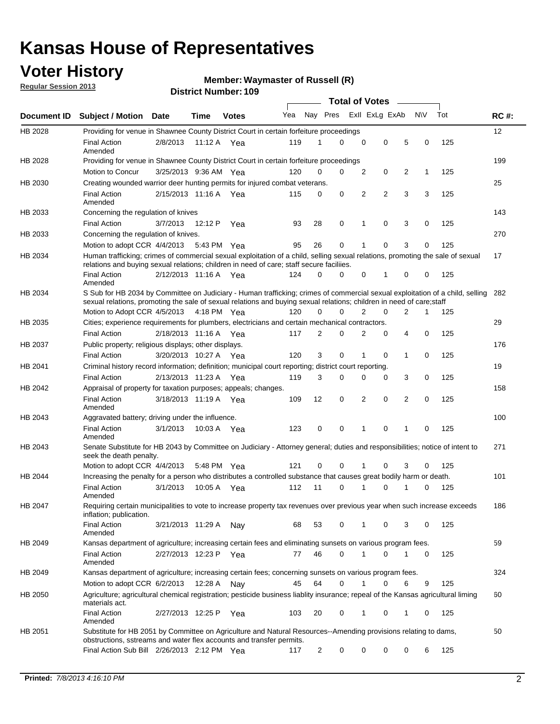## **Voter History**

**Regular Session 2013**

#### **Waymaster of Russell (R)**

|                    |                                                                                                                                                                                                                                                        |                       |         |              |     |             | <b>Total of Votes</b> |                |                |   |           |     |             |
|--------------------|--------------------------------------------------------------------------------------------------------------------------------------------------------------------------------------------------------------------------------------------------------|-----------------------|---------|--------------|-----|-------------|-----------------------|----------------|----------------|---|-----------|-----|-------------|
| <b>Document ID</b> | <b>Subject / Motion Date</b>                                                                                                                                                                                                                           |                       | Time    | <b>Votes</b> | Yea | Nay Pres    |                       |                | Exll ExLg ExAb |   | <b>NV</b> | Tot | <b>RC#:</b> |
| HB 2028            | Providing for venue in Shawnee County District Court in certain forfeiture proceedings                                                                                                                                                                 |                       |         |              |     |             |                       |                |                |   |           |     | 12          |
|                    | <b>Final Action</b><br>Amended                                                                                                                                                                                                                         | 2/8/2013              |         | 11:12 A Yea  | 119 | 1           | $\Omega$              | 0              | 0              | 5 | 0         | 125 |             |
| HB 2028            | Providing for venue in Shawnee County District Court in certain forfeiture proceedings<br>Motion to Concur                                                                                                                                             |                       |         |              |     |             |                       |                |                |   |           |     | 199         |
|                    |                                                                                                                                                                                                                                                        | 3/25/2013 9:36 AM Yea |         |              | 120 | 0           | 0                     | $\overline{2}$ | 0              | 2 | 1         | 125 |             |
| HB 2030            | Creating wounded warrior deer hunting permits for injured combat veterans.<br><b>Final Action</b>                                                                                                                                                      | 2/15/2013 11:16 A     |         | Yea          | 115 | 0           | 0                     | 2              | 2              | 3 | 3         | 125 | 25          |
| HB 2033            | Amended<br>Concerning the regulation of knives                                                                                                                                                                                                         |                       |         |              |     |             |                       |                |                |   |           |     | 143         |
|                    | <b>Final Action</b>                                                                                                                                                                                                                                    | 3/7/2013              | 12:12 P | Yea          | 93  | 28          | 0                     | 1              | 0              | 3 | 0         | 125 |             |
| HB 2033            | Concerning the regulation of knives.                                                                                                                                                                                                                   |                       |         |              |     |             |                       |                |                |   |           |     | 270         |
|                    | Motion to adopt CCR 4/4/2013                                                                                                                                                                                                                           |                       |         | 5:43 PM Yea  | 95  | 26          | 0                     |                | 0              | 3 | 0         | 125 |             |
| HB 2034            | Human trafficking; crimes of commercial sexual exploitation of a child, selling sexual relations, promoting the sale of sexual<br>relations and buying sexual relations; children in need of care; staff secure faciliies.                             |                       |         |              |     |             |                       |                |                |   |           |     | 17          |
|                    | <b>Final Action</b><br>Amended                                                                                                                                                                                                                         | 2/12/2013 11:16 A Yea |         |              | 124 | $\Omega$    | 0                     | 0              | 1              | 0 | 0         | 125 |             |
| HB 2034            | S Sub for HB 2034 by Committee on Judiciary - Human trafficking; crimes of commercial sexual exploitation of a child, selling<br>sexual relations, promoting the sale of sexual relations and buying sexual relations; children in need of care; staff |                       |         |              |     |             |                       |                |                |   |           |     | 282         |
|                    | Motion to Adopt CCR 4/5/2013 4:18 PM Yea                                                                                                                                                                                                               |                       |         |              | 120 | $\Omega$    | 0                     | 2              | 0              | 2 | 1         | 125 |             |
| HB 2035            | Cities; experience requirements for plumbers, electricians and certain mechanical contractors.                                                                                                                                                         |                       |         |              |     |             |                       |                |                |   |           |     | 29          |
|                    | <b>Final Action</b>                                                                                                                                                                                                                                    | 2/18/2013 11:16 A     |         | Yea          | 117 | 2           | 0                     | 2              | 0              | 4 | 0         | 125 |             |
| HB 2037            | Public property; religious displays; other displays.                                                                                                                                                                                                   |                       |         |              |     |             |                       |                |                |   |           |     | 176         |
|                    | <b>Final Action</b>                                                                                                                                                                                                                                    | 3/20/2013 10:27 A     |         | Yea          | 120 | 3           | 0                     | 1              | 0              | 1 | 0         | 125 |             |
| HB 2041            | Criminal history record information; definition; municipal court reporting; district court reporting.                                                                                                                                                  |                       |         |              |     |             |                       |                |                |   |           |     | 19          |
|                    | <b>Final Action</b>                                                                                                                                                                                                                                    | 2/13/2013 11:23 A     |         | Yea          | 119 | 3           | 0                     | 0              | 0              | 3 | 0         | 125 |             |
| HB 2042            | Appraisal of property for taxation purposes; appeals; changes.                                                                                                                                                                                         |                       |         |              |     |             |                       |                |                |   |           |     | 158         |
|                    | <b>Final Action</b><br>Amended                                                                                                                                                                                                                         | 3/18/2013 11:19 A     |         | Yea          | 109 | 12          | 0                     | 2              | 0              | 2 | 0         | 125 |             |
| HB 2043            | Aggravated battery; driving under the influence.                                                                                                                                                                                                       |                       |         |              |     |             |                       |                |                |   |           |     | 100         |
|                    | <b>Final Action</b><br>Amended                                                                                                                                                                                                                         | 3/1/2013              |         | 10:03 A Yea  | 123 | $\mathbf 0$ | 0                     | 1              | 0              |   | 0         | 125 |             |
| HB 2043            | Senate Substitute for HB 2043 by Committee on Judiciary - Attorney general; duties and responsibilities; notice of intent to<br>seek the death penalty.                                                                                                |                       |         |              |     |             |                       |                |                |   |           |     | 271         |
|                    | Motion to adopt CCR 4/4/2013                                                                                                                                                                                                                           |                       |         | 5:48 PM Yea  | 121 | 0           | 0                     |                | 0              | 3 | 0         | 125 |             |
| HB 2044            | Increasing the penalty for a person who distributes a controlled substance that causes great bodily harm or death.                                                                                                                                     |                       |         |              |     |             |                       |                |                |   |           |     | 101         |
|                    | <b>Final Action</b><br>Amended                                                                                                                                                                                                                         | 3/1/2013              | 10:05 A | Yea          | 112 | 11          | 0                     |                | 0              |   | 0         | 125 |             |
| HB 2047            | Requiring certain municipalities to vote to increase property tax revenues over previous year when such increase exceeds<br>inflation; publication.                                                                                                    |                       |         |              |     |             |                       |                |                |   |           |     | 186         |
|                    | <b>Final Action</b><br>Amended                                                                                                                                                                                                                         | 3/21/2013 11:29 A Nay |         |              | 68  | 53          | 0                     |                | 0              | 3 | 0         | 125 |             |
| HB 2049            | Kansas department of agriculture; increasing certain fees and eliminating sunsets on various program fees.                                                                                                                                             |                       |         |              |     |             |                       |                |                |   |           |     | 59          |
|                    | Final Action<br>Amended                                                                                                                                                                                                                                | 2/27/2013 12:23 P     |         | Yea          | 77  | 46          | 0                     | 1              | 0              | 1 | 0         | 125 |             |
| HB 2049            | Kansas department of agriculture; increasing certain fees; concerning sunsets on various program fees.                                                                                                                                                 |                       |         |              |     |             |                       |                |                |   |           |     | 324         |
|                    | Motion to adopt CCR 6/2/2013                                                                                                                                                                                                                           |                       | 12:28 A | Nav          | 45  | 64          | 0                     | 1              | 0              | 6 | 9         | 125 |             |
| HB 2050            | Agriculture; agricultural chemical registration; pesticide business liablity insurance; repeal of the Kansas agricultural liming<br>materials act.                                                                                                     |                       |         |              |     |             |                       |                |                |   |           |     | 60          |
|                    | <b>Final Action</b><br>Amended                                                                                                                                                                                                                         | 2/27/2013 12:25 P     |         | Yea          | 103 | 20          | 0                     | 1              | 0              | 1 | 0         | 125 |             |
| HB 2051            | Substitute for HB 2051 by Committee on Agriculture and Natural Resources--Amending provisions relating to dams,<br>obstructions, sstreams and water flex accounts and transfer permits.                                                                |                       |         |              |     |             |                       |                |                |   |           |     | 50          |
|                    | Final Action Sub Bill 2/26/2013 2:12 PM Yea                                                                                                                                                                                                            |                       |         |              | 117 | 2           | 0                     | 0              | 0              | 0 | 6         | 125 |             |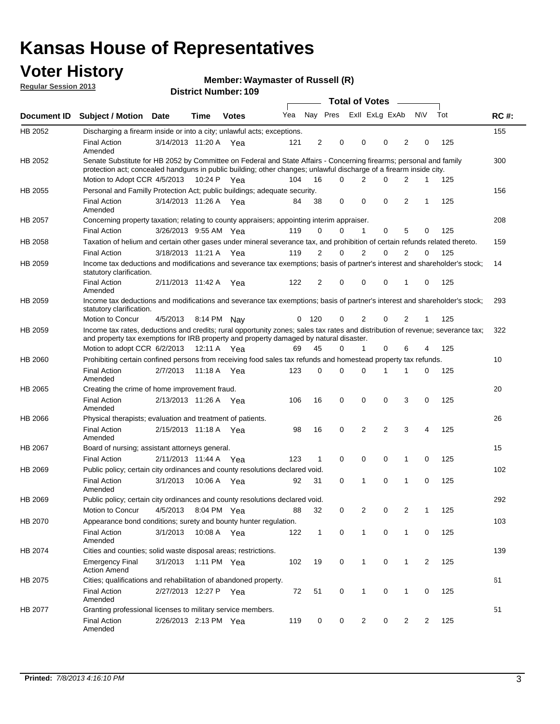## **Voter History**

**Waymaster of Russell (R)**

**Regular Session 2013**

|             |                                                                                                                                                                                                                                          |                       |             | טטו דיסעווווארדיטוווטרע |     |                |          | <b>Total of Votes</b> |                | $\sim$         |                |             |     |             |
|-------------|------------------------------------------------------------------------------------------------------------------------------------------------------------------------------------------------------------------------------------------|-----------------------|-------------|-------------------------|-----|----------------|----------|-----------------------|----------------|----------------|----------------|-------------|-----|-------------|
| Document ID | <b>Subject / Motion Date</b>                                                                                                                                                                                                             |                       | <b>Time</b> | <b>Votes</b>            | Yea |                | Nay Pres |                       | Exll ExLg ExAb |                |                | <b>NV</b>   | Tot | <b>RC#:</b> |
| HB 2052     | Discharging a firearm inside or into a city; unlawful acts; exceptions.                                                                                                                                                                  |                       |             |                         |     |                |          |                       |                |                |                |             |     | 155         |
|             | <b>Final Action</b><br>Amended                                                                                                                                                                                                           | 3/14/2013 11:20 A Yea |             |                         | 121 | $\overline{2}$ | 0        |                       | 0              | 0              | $\overline{2}$ | 0           | 125 |             |
| HB 2052     | Senate Substitute for HB 2052 by Committee on Federal and State Affairs - Concerning firearms; personal and family<br>protection act; concealed handguns in public building; other changes; unlawful discharge of a firearm inside city. |                       |             |                         |     |                |          |                       |                |                |                |             |     | 300         |
|             | Motion to Adopt CCR 4/5/2013 10:24 P Yea                                                                                                                                                                                                 |                       |             |                         | 104 | 16             | $\Omega$ |                       | 2              | 0              | 2              | 1           | 125 |             |
| HB 2055     | Personal and Familly Protection Act; public buildings; adequate security.                                                                                                                                                                |                       |             |                         |     |                |          |                       |                |                |                |             |     | 156         |
|             | <b>Final Action</b><br>Amended                                                                                                                                                                                                           | 3/14/2013 11:26 A Yea |             |                         | 84  | 38             | 0        |                       | 0              | 0              | 2              | 1           | 125 |             |
| HB 2057     | Concerning property taxation; relating to county appraisers; appointing interim appraiser.                                                                                                                                               |                       |             |                         |     |                |          |                       |                |                |                |             |     | 208         |
|             | <b>Final Action</b>                                                                                                                                                                                                                      | 3/26/2013 9:55 AM Yea |             |                         | 119 | 0              | 0        |                       | $\mathbf{1}$   | 0              | 5              | 0           | 125 |             |
| HB 2058     | Taxation of helium and certain other gases under mineral severance tax, and prohibition of certain refunds related thereto.                                                                                                              |                       |             |                         |     |                |          |                       |                |                |                |             |     | 159         |
|             | <b>Final Action</b>                                                                                                                                                                                                                      | 3/18/2013 11:21 A Yea |             |                         | 119 | 2              | 0        |                       | $\overline{2}$ | $\Omega$       | 2              | $\Omega$    | 125 |             |
| HB 2059     | Income tax deductions and modifications and severance tax exemptions; basis of partner's interest and shareholder's stock;<br>statutory clarification.                                                                                   |                       |             |                         |     |                |          |                       |                |                |                |             |     | 14          |
|             | <b>Final Action</b><br>Amended                                                                                                                                                                                                           | 2/11/2013 11:42 A     |             | Yea                     | 122 | 2              |          | 0                     | 0              | 0              | 1              | 0           | 125 |             |
| HB 2059     | Income tax deductions and modifications and severance tax exemptions; basis of partner's interest and shareholder's stock;<br>statutory clarification.                                                                                   |                       |             |                         |     |                |          |                       |                |                |                |             |     | 293         |
|             | <b>Motion to Concur</b>                                                                                                                                                                                                                  | 4/5/2013              | 8:14 PM     | Nav                     | 0   | - 120          | 0        |                       | 2              | 0              | $\overline{2}$ | 1           | 125 |             |
| HB 2059     | Income tax rates, deductions and credits; rural opportunity zones; sales tax rates and distribution of revenue; severance tax;<br>and property tax exemptions for IRB property and property damaged by natural disaster.                 |                       |             |                         |     |                |          |                       |                |                |                |             |     | 322         |
|             | Motion to adopt CCR 6/2/2013                                                                                                                                                                                                             |                       | 12:11 A     | Yea                     | 69  | 45             | 0        |                       | $\mathbf{1}$   | $\Omega$       | 6              | 4           | 125 |             |
| HB 2060     | Prohibiting certain confined persons from receiving food sales tax refunds and homestead property tax refunds.                                                                                                                           |                       |             |                         |     |                |          |                       |                |                |                |             |     | 10          |
|             | <b>Final Action</b><br>Amended                                                                                                                                                                                                           | 2/7/2013              | 11:18 A     | Yea                     | 123 | $\mathbf 0$    | 0        |                       | $\Omega$       | 1              | 1              | 0           | 125 |             |
| HB 2065     | Creating the crime of home improvement fraud.                                                                                                                                                                                            |                       |             |                         |     |                |          |                       |                |                |                |             |     | 20          |
|             | <b>Final Action</b><br>Amended                                                                                                                                                                                                           | 2/13/2013 11:26 A Yea |             |                         | 106 | 16             | 0        |                       | $\mathbf 0$    | 0              | 3              | 0           | 125 |             |
| HB 2066     | Physical therapists; evaluation and treatment of patients.                                                                                                                                                                               |                       |             |                         |     |                |          |                       |                |                |                |             |     | 26          |
|             | <b>Final Action</b><br>Amended                                                                                                                                                                                                           | 2/15/2013 11:18 A Yea |             |                         | 98  | 16             | 0        |                       | 2              | $\overline{2}$ | 3              | 4           | 125 |             |
| HB 2067     | Board of nursing; assistant attorneys general.                                                                                                                                                                                           |                       |             |                         |     |                |          |                       |                |                |                |             |     | 15          |
|             | <b>Final Action</b>                                                                                                                                                                                                                      | 2/11/2013 11:44 A Yea |             |                         | 123 | 1              | 0        |                       | 0              | 0              | 1              | 0           | 125 |             |
| HB 2069     | Public policy; certain city ordinances and county resolutions declared void.                                                                                                                                                             |                       |             |                         |     |                |          |                       |                |                |                |             |     | 102         |
|             | <b>Final Action</b><br>Amended                                                                                                                                                                                                           | 3/1/2013              | 10:06 A     | Yea                     | 92  | 31             | $\Omega$ |                       | 1              | $\Omega$       | 1              | $\mathbf 0$ | 125 |             |
| HB 2069     | Public policy; certain city ordinances and county resolutions declared void.                                                                                                                                                             |                       |             |                         |     |                |          |                       |                |                |                |             |     | 292         |
|             | <b>Motion to Concur</b>                                                                                                                                                                                                                  | 4/5/2013              |             | 8:04 PM Yea             | 88  | 32             | 0        |                       | 2              | 0              | $\overline{2}$ | 1           | 125 |             |
| HB 2070     | Appearance bond conditions; surety and bounty hunter regulation.                                                                                                                                                                         |                       |             |                         |     |                |          |                       |                |                |                |             |     | 103         |
|             | <b>Final Action</b><br>Amended                                                                                                                                                                                                           | 3/1/2013              |             | 10:08 A Yea             | 122 | $\mathbf{1}$   | 0        |                       | $\mathbf{1}$   | 0              | 1              | 0           | 125 |             |
| HB 2074     | Cities and counties; solid waste disposal areas; restrictions.                                                                                                                                                                           |                       |             |                         |     |                |          |                       |                |                |                |             |     | 139         |
|             | <b>Emergency Final</b><br><b>Action Amend</b>                                                                                                                                                                                            | 3/1/2013              |             | 1:11 PM Yea             | 102 | 19             | 0        |                       | 1              | 0              | 1              | 2           | 125 |             |
| HB 2075     | Cities; qualifications and rehabilitation of abandoned property.                                                                                                                                                                         |                       |             |                         |     |                |          |                       |                |                |                |             |     | 61          |
|             | <b>Final Action</b><br>Amended                                                                                                                                                                                                           | 2/27/2013 12:27 P Yea |             |                         | 72  | 51             | 0        |                       | 1              | 0              | 1              | 0           | 125 |             |
| HB 2077     | Granting professional licenses to military service members.<br><b>Final Action</b><br>Amended                                                                                                                                            | 2/26/2013 2:13 PM Yea |             |                         | 119 | 0              | 0        |                       | $\overline{2}$ | 0              | $\overline{2}$ | 2           | 125 | 51          |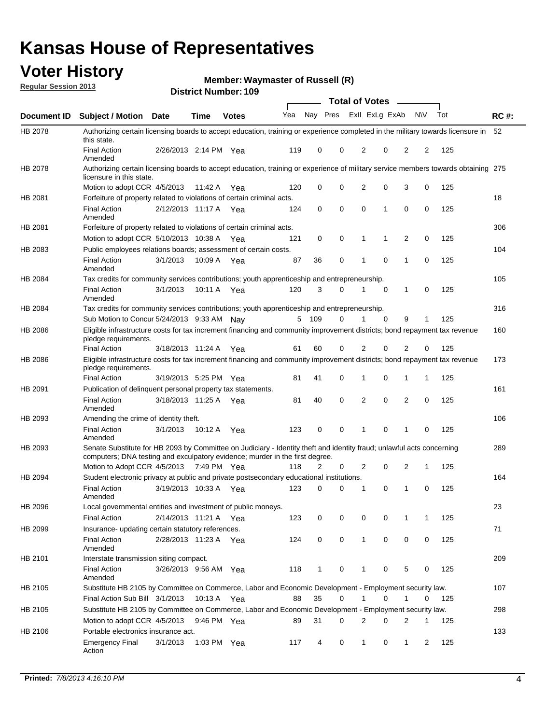## **Voter History**

**Waymaster of Russell (R)**

**Regular Session 2013**

|             |                                                                                                                                                                                                       |                       |         | <b>DISTING MATTING!</b> 103 |     |              |          |                | Total of Votes – |                |             |     |             |
|-------------|-------------------------------------------------------------------------------------------------------------------------------------------------------------------------------------------------------|-----------------------|---------|-----------------------------|-----|--------------|----------|----------------|------------------|----------------|-------------|-----|-------------|
| Document ID | <b>Subject / Motion Date</b>                                                                                                                                                                          |                       | Time    | <b>Votes</b>                | Yea |              | Nay Pres |                | Exll ExLg ExAb   |                | <b>NV</b>   | Tot | <b>RC#:</b> |
| HB 2078     | Authorizing certain licensing boards to accept education, training or experience completed in the military towards licensure in<br>this state.                                                        |                       |         |                             |     |              |          |                |                  |                |             |     | 52          |
|             | <b>Final Action</b><br>Amended                                                                                                                                                                        | 2/26/2013 2:14 PM Yea |         |                             | 119 | 0            | 0        | 2              | 0                | $\overline{2}$ | 2           | 125 |             |
| HB 2078     | Authorizing certain licensing boards to accept education, training or experience of military service members towards obtaining 275<br>licensure in this state.                                        |                       |         |                             |     |              |          |                |                  |                |             |     |             |
|             | Motion to adopt CCR 4/5/2013                                                                                                                                                                          |                       | 11:42 A | Yea                         | 120 | 0            | 0        | $\overline{2}$ | 0                | 3              | 0           | 125 |             |
| HB 2081     | Forfeiture of property related to violations of certain criminal acts.                                                                                                                                |                       |         |                             |     |              |          |                |                  |                |             |     | 18          |
|             | <b>Final Action</b><br>Amended                                                                                                                                                                        | 2/12/2013 11:17 A Yea |         |                             | 124 | 0            | 0        | 0              | 1                | 0              | 0           | 125 |             |
| HB 2081     | Forfeiture of property related to violations of certain criminal acts.                                                                                                                                |                       |         |                             |     |              |          |                |                  |                |             |     | 306         |
|             | Motion to adopt CCR 5/10/2013 10:38 A                                                                                                                                                                 |                       |         | Yea                         | 121 | 0            | 0        | 1              | 1                | 2              | 0           | 125 |             |
| HB 2083     | Public employees relations boards; assessment of certain costs.                                                                                                                                       |                       |         |                             |     |              |          |                |                  |                |             |     | 104         |
|             | <b>Final Action</b><br>Amended                                                                                                                                                                        | 3/1/2013              | 10:09 A | Yea                         | 87  | 36           | 0        | 1              | 0                | 1              | $\mathbf 0$ | 125 |             |
| HB 2084     | Tax credits for community services contributions; youth apprenticeship and entrepreneurship.                                                                                                          |                       |         |                             |     |              |          |                |                  |                |             |     | 105         |
|             | <b>Final Action</b><br>Amended                                                                                                                                                                        | 3/1/2013              | 10:11 A | Yea                         | 120 | 3            | 0        | 1              | 0                | 1              | 0           | 125 |             |
| HB 2084     | Tax credits for community services contributions; youth apprenticeship and entrepreneurship.                                                                                                          |                       |         |                             |     |              |          |                |                  |                |             |     | 316         |
|             | Sub Motion to Concur 5/24/2013 9:33 AM Nav                                                                                                                                                            |                       |         |                             | 5   | 109          | 0        |                | $\Omega$         | 9              | 1           | 125 |             |
| HB 2086     | Eligible infrastructure costs for tax increment financing and community improvement districts; bond repayment tax revenue<br>pledge requirements.                                                     |                       |         |                             |     |              |          |                |                  |                |             |     | 160         |
|             | <b>Final Action</b>                                                                                                                                                                                   | 3/18/2013 11:24 A     |         | Yea                         | 61  | 60           | 0        | 2              | 0                | $\overline{2}$ | 0           | 125 |             |
| HB 2086     | Eligible infrastructure costs for tax increment financing and community improvement districts; bond repayment tax revenue<br>pledge requirements.                                                     |                       |         |                             |     |              |          |                |                  |                |             |     | 173         |
|             | <b>Final Action</b>                                                                                                                                                                                   | 3/19/2013 5:25 PM     |         | Yea                         | 81  | 41           | 0        | 1              | 0                | 1              | 1           | 125 |             |
| HB 2091     | Publication of delinguent personal property tax statements.                                                                                                                                           |                       |         |                             |     |              |          |                |                  |                |             |     | 161         |
|             | <b>Final Action</b><br>Amended                                                                                                                                                                        | 3/18/2013 11:25 A     |         | Yea                         | 81  | 40           | 0        | $\overline{2}$ | 0                | $\overline{2}$ | 0           | 125 |             |
| HB 2093     | Amending the crime of identity theft.                                                                                                                                                                 |                       |         |                             |     |              |          |                |                  |                |             |     | 106         |
|             | <b>Final Action</b><br>Amended                                                                                                                                                                        | 3/1/2013              | 10:12 A | Yea                         | 123 | 0            | 0        |                | 0                | 1              | 0           | 125 |             |
| HB 2093     | Senate Substitute for HB 2093 by Committee on Judiciary - Identity theft and identity fraud; unlawful acts concerning<br>computers; DNA testing and exculpatory evidence; murder in the first degree. |                       |         |                             |     |              |          |                |                  |                |             |     | 289         |
|             | Motion to Adopt CCR 4/5/2013 7:49 PM Yea                                                                                                                                                              |                       |         |                             | 118 | 2            | 0        | 2              | 0                | 2              | 1           | 125 |             |
| HB 2094     | Student electronic privacy at public and private postsecondary educational institutions.<br><b>Final Action</b><br>Amended                                                                            | 3/19/2013 10:33 A     |         | Yea                         | 123 | 0            | 0        | 1              | 0                | 1              | 0           | 125 | 164         |
| HB 2096     | Local governmental entities and investment of public moneys.                                                                                                                                          |                       |         |                             |     |              |          |                |                  |                |             |     | 23          |
|             | <b>Final Action</b>                                                                                                                                                                                   | 2/14/2013 11:21 A     |         | Yea                         | 123 | 0            | 0        | 0              | 0                | 1              | 1           | 125 |             |
| HB 2099     | Insurance- updating certain statutory references.                                                                                                                                                     |                       |         |                             |     |              |          |                |                  |                |             |     | 71          |
|             | <b>Final Action</b><br>Amended                                                                                                                                                                        | 2/28/2013 11:23 A     |         | Yea                         | 124 | 0            | 0        | $\mathbf{1}$   | 0                | 0              | 0           | 125 |             |
| HB 2101     | Interstate transmission siting compact.                                                                                                                                                               |                       |         |                             |     |              |          |                |                  |                |             |     | 209         |
|             | Final Action<br>Amended                                                                                                                                                                               | 3/26/2013 9:56 AM Yea |         |                             | 118 | $\mathbf{1}$ | 0        | 1              | 0                | 5              | 0           | 125 |             |
| HB 2105     | Substitute HB 2105 by Committee on Commerce, Labor and Economic Development - Employment security law.                                                                                                |                       |         |                             |     |              |          |                |                  |                |             |     | 107         |
|             | Final Action Sub Bill 3/1/2013                                                                                                                                                                        |                       |         | 10:13 A Yea                 | 88  | 35           | 0        | 1              | 0                | 1              | 0           | 125 |             |
| HB 2105     | Substitute HB 2105 by Committee on Commerce, Labor and Economic Development - Employment security law.                                                                                                |                       |         |                             |     |              |          |                |                  |                |             |     | 298         |
|             | Motion to adopt CCR 4/5/2013                                                                                                                                                                          |                       |         | 9:46 PM Yea                 | 89  | 31           | 0        | 2              | 0                | 2              | 1           | 125 |             |
| HB 2106     | Portable electronics insurance act.                                                                                                                                                                   |                       |         |                             |     |              |          |                |                  |                |             |     | 133         |
|             | <b>Emergency Final</b><br>Action                                                                                                                                                                      | 3/1/2013              |         | 1:03 PM Yea                 | 117 | 4            | 0        | $\mathbf{1}$   | 0                | $\mathbf{1}$   | 2           | 125 |             |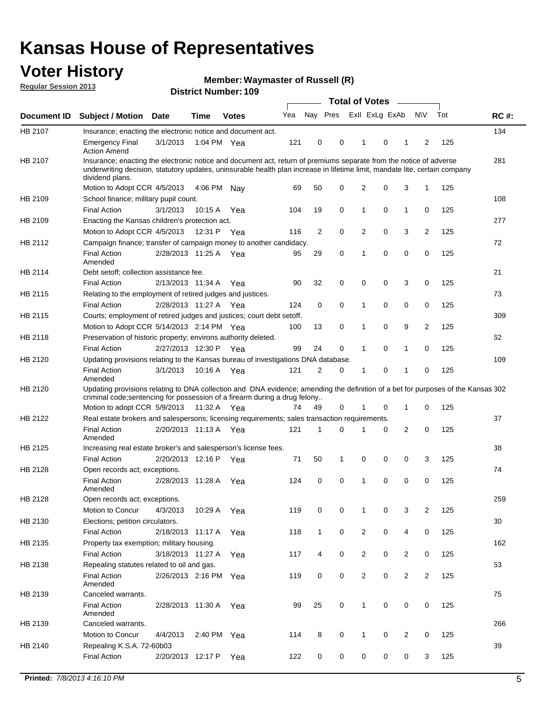## **Voter History**

**Waymaster of Russell (R)**

**Regular Session 2013**

|             |                                                                                                                                                                                                                                                                      |                       |             | טטו דיסטווווטרו ועווסו |     |                |             | <b>Total of Votes</b> |   | $\sim$         |                |     |             |
|-------------|----------------------------------------------------------------------------------------------------------------------------------------------------------------------------------------------------------------------------------------------------------------------|-----------------------|-------------|------------------------|-----|----------------|-------------|-----------------------|---|----------------|----------------|-----|-------------|
| Document ID | <b>Subject / Motion Date</b>                                                                                                                                                                                                                                         |                       | <b>Time</b> | <b>Votes</b>           | Yea | Nay Pres       |             | Exll ExLg ExAb        |   |                | <b>NV</b>      | Tot | <b>RC#:</b> |
| HB 2107     | Insurance; enacting the electronic notice and document act.                                                                                                                                                                                                          |                       |             |                        |     |                |             |                       |   |                |                |     | 134         |
|             | <b>Emergency Final</b><br><b>Action Amend</b>                                                                                                                                                                                                                        | 3/1/2013              | 1:04 PM Yea |                        | 121 | 0              | 0           | 1                     | 0 | 1              | 2              | 125 |             |
| HB 2107     | Insurance; enacting the electronic notice and document act, return of premiums separate from the notice of adverse<br>underwriting decision, statutory updates, uninsurable health plan increase in lifetime limit, mandate lite, certain company<br>dividend plans. |                       |             |                        |     |                |             |                       |   |                |                |     | 281         |
|             | Motion to Adopt CCR 4/5/2013                                                                                                                                                                                                                                         |                       | 4:06 PM     | Nav                    | 69  | 50             | 0           | 2                     | 0 | 3              | $\mathbf{1}$   | 125 |             |
| HB 2109     | School finance; military pupil count.                                                                                                                                                                                                                                |                       |             |                        |     |                |             |                       |   |                |                |     | 108         |
|             | <b>Final Action</b>                                                                                                                                                                                                                                                  | 3/1/2013              | 10:15A      | Yea                    | 104 | 19             | 0           | 1                     | 0 | $\mathbf{1}$   | 0              | 125 |             |
| HB 2109     | Enacting the Kansas children's protection act.                                                                                                                                                                                                                       |                       |             |                        |     |                |             |                       |   |                |                |     | 277         |
|             | Motion to Adopt CCR 4/5/2013                                                                                                                                                                                                                                         |                       | 12:31 P     | Yea                    | 116 | $\overline{2}$ | 0           | 2                     | 0 | 3              | $\overline{2}$ | 125 |             |
| HB 2112     | Campaign finance; transfer of campaign money to another candidacy.                                                                                                                                                                                                   |                       |             |                        |     |                |             |                       |   |                |                |     | 72          |
|             | <b>Final Action</b><br>Amended                                                                                                                                                                                                                                       | 2/28/2013 11:25 A Yea |             |                        | 95  | 29             | 0           | 1                     | 0 | 0              | 0              | 125 |             |
| HB 2114     | Debt setoff; collection assistance fee.                                                                                                                                                                                                                              |                       |             |                        |     |                |             |                       |   |                |                |     | 21          |
|             | <b>Final Action</b>                                                                                                                                                                                                                                                  | 2/13/2013 11:34 A     |             | Yea                    | 90  | 32             | 0           | 0                     | 0 | 3              | 0              | 125 |             |
| HB 2115     | Relating to the employment of retired judges and justices.                                                                                                                                                                                                           |                       |             |                        |     |                |             |                       |   |                |                |     | 73          |
|             | <b>Final Action</b>                                                                                                                                                                                                                                                  | 2/28/2013 11:27 A     |             | Yea                    | 124 | 0              | $\mathbf 0$ | 1                     | 0 | 0              | 0              | 125 |             |
| HB 2115     | Courts; employment of retired judges and justices; court debt setoff.                                                                                                                                                                                                |                       |             |                        |     |                |             |                       |   |                |                |     | 309         |
|             | Motion to Adopt CCR 5/14/2013 2:14 PM Yea                                                                                                                                                                                                                            |                       |             |                        | 100 | 13             | 0           | 1                     | 0 | 9              | 2              | 125 |             |
| HB 2118     | Preservation of historic property; environs authority deleted.                                                                                                                                                                                                       |                       |             |                        |     |                |             |                       |   |                |                |     | 62          |
|             | <b>Final Action</b>                                                                                                                                                                                                                                                  | 2/27/2013 12:30 P     |             | Yea                    | 99  | 24             | 0           | 1                     | 0 | $\mathbf{1}$   | 0              | 125 |             |
| HB 2120     | Updating provisions relating to the Kansas bureau of investigations DNA database.                                                                                                                                                                                    |                       |             |                        |     |                |             |                       |   |                |                |     | 109         |
|             | <b>Final Action</b><br>Amended                                                                                                                                                                                                                                       | 3/1/2013              | 10:16 A     | Yea                    | 121 | 2              | 0           | 1                     | 0 | 1              | 0              | 125 |             |
| HB 2120     | Updating provisions relating to DNA collection and DNA evidence; amending the definition of a bet for purposes of the Kansas 302<br>criminal code; sentencing for possession of a firearm during a drug felony                                                       |                       |             |                        |     |                |             |                       |   |                |                |     |             |
|             | Motion to adopt CCR 5/9/2013                                                                                                                                                                                                                                         |                       | 11:32 A Yea |                        | 74  | 49             | 0           |                       | 0 | 1              | 0              | 125 |             |
| HB 2122     | Real estate brokers and salespersons; licensing requirements; sales transaction requirements.                                                                                                                                                                        |                       |             |                        |     |                |             |                       |   |                |                |     | 37          |
|             | <b>Final Action</b><br>Amended                                                                                                                                                                                                                                       | 2/20/2013 11:13 A Yea |             |                        | 121 | 1              | $\Omega$    |                       | 0 | 2              | 0              | 125 |             |
| HB 2125     | Increasing real estate broker's and salesperson's license fees.                                                                                                                                                                                                      |                       |             |                        |     |                |             |                       |   |                |                |     | 38          |
|             | <b>Final Action</b>                                                                                                                                                                                                                                                  | 2/20/2013 12:16 P     |             | Yea                    | 71  | 50             | 1           | 0                     | 0 | 0              | 3              | 125 |             |
| HB 2128     | Open records act; exceptions.                                                                                                                                                                                                                                        |                       |             |                        |     |                |             |                       |   |                |                |     | 74          |
|             | <b>Final Action</b><br>Amended                                                                                                                                                                                                                                       | 2/28/2013 11:28 A     |             | Yea                    | 124 | 0              | 0           | 1                     | 0 | 0              | 0              | 125 |             |
| HB 2128     | Open records act; exceptions.                                                                                                                                                                                                                                        |                       |             |                        |     |                |             |                       |   |                |                |     | 259         |
|             | Motion to Concur                                                                                                                                                                                                                                                     | 4/3/2013              | 10:29 A     | Yea                    | 119 | 0              | 0           | 1                     | 0 | 3              | $\overline{2}$ | 125 |             |
| HB 2130     | Elections; petition circulators.                                                                                                                                                                                                                                     |                       |             |                        |     |                |             |                       |   |                |                |     | 30          |
|             | <b>Final Action</b>                                                                                                                                                                                                                                                  | 2/18/2013 11:17 A     |             | Yea                    | 118 | $\mathbf{1}$   | 0           | $\overline{c}$        | 0 | 4              | 0              | 125 |             |
| HB 2135     | Property tax exemption; military housing.                                                                                                                                                                                                                            |                       |             |                        |     |                |             |                       |   |                |                |     | 162         |
|             | <b>Final Action</b>                                                                                                                                                                                                                                                  | 3/18/2013 11:27 A     |             | Yea                    | 117 | 4              | 0           | $\overline{c}$        | 0 | $\overline{2}$ | 0              | 125 |             |
| HB 2138     | Repealing statutes related to oil and gas.                                                                                                                                                                                                                           |                       |             |                        |     |                |             |                       |   |                |                |     | 53          |
|             | <b>Final Action</b><br>Amended                                                                                                                                                                                                                                       | 2/26/2013 2:16 PM Yea |             |                        | 119 | 0              | 0           | 2                     | 0 | $\overline{2}$ | $\overline{2}$ | 125 |             |
| HB 2139     | Canceled warrants.                                                                                                                                                                                                                                                   |                       |             |                        |     |                |             |                       |   |                |                |     | 75          |
|             | <b>Final Action</b><br>Amended                                                                                                                                                                                                                                       | 2/28/2013 11:30 A     |             | Yea                    | 99  | 25             | 0           | 1                     | 0 | 0              | 0              | 125 |             |
| HB 2139     | Canceled warrants.                                                                                                                                                                                                                                                   |                       |             |                        |     |                |             |                       |   |                |                |     | 266         |
|             | Motion to Concur                                                                                                                                                                                                                                                     | 4/4/2013              | 2:40 PM     | Yea                    | 114 | 8              | 0           | 1                     | 0 | 2              | 0              | 125 |             |
| HB 2140     | Repealing K.S.A. 72-60b03                                                                                                                                                                                                                                            |                       |             |                        |     |                |             |                       |   |                |                |     | 39          |
|             | <b>Final Action</b>                                                                                                                                                                                                                                                  | 2/20/2013 12:17 P     |             | Yea                    | 122 | 0              | 0           | 0                     | 0 | 0              | 3              | 125 |             |
|             |                                                                                                                                                                                                                                                                      |                       |             |                        |     |                |             |                       |   |                |                |     |             |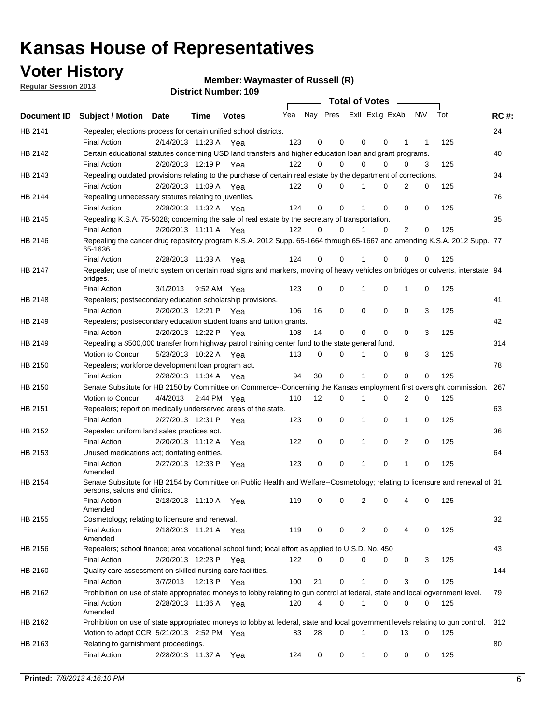## **Voter History**

**Waymaster of Russell (R)**

**Regular Session 2013**

|             |                                                                                                                                              |          |                       |              |     |             | <b>Total of Votes</b>   |              |   | $\sim 100$ m $^{-1}$ |           |     |             |
|-------------|----------------------------------------------------------------------------------------------------------------------------------------------|----------|-----------------------|--------------|-----|-------------|-------------------------|--------------|---|----------------------|-----------|-----|-------------|
| Document ID | <b>Subject / Motion Date</b>                                                                                                                 |          | Time                  | <b>Votes</b> | Yea |             | Nay Pres ExII ExLg ExAb |              |   |                      | <b>NV</b> | Tot | <b>RC#:</b> |
| HB 2141     | Repealer; elections process for certain unified school districts.                                                                            |          |                       |              |     |             |                         |              |   |                      |           |     | 24          |
|             | <b>Final Action</b>                                                                                                                          |          | 2/14/2013 11:23 A Yea |              | 123 | 0           | 0                       | 0            | 0 | 1                    | 1         | 125 |             |
| HB 2142     | Certain educational statutes concerning USD land transfers and higher education loan and grant programs.                                     |          |                       |              |     |             |                         |              |   |                      |           |     | 40          |
|             | <b>Final Action</b>                                                                                                                          |          | 2/20/2013 12:19 P Yea |              | 122 | 0           | 0                       | $\Omega$     | 0 | $\Omega$             | 3         | 125 |             |
| HB 2143     | Repealing outdated provisions relating to the purchase of certain real estate by the department of corrections.                              |          |                       |              |     |             |                         |              |   |                      |           |     | 34          |
|             | <b>Final Action</b>                                                                                                                          |          | 2/20/2013 11:09 A Yea |              | 122 | 0           | 0                       | 1            | 0 | $\overline{2}$       | 0         | 125 |             |
| HB 2144     | Repealing unnecessary statutes relating to juveniles.                                                                                        |          |                       |              |     |             |                         |              |   |                      |           |     | 76          |
|             | <b>Final Action</b>                                                                                                                          |          | 2/28/2013 11:32 A Yea |              | 124 | $\mathbf 0$ | 0                       | 1            | 0 | 0                    | 0         | 125 |             |
| HB 2145     | Repealing K.S.A. 75-5028; concerning the sale of real estate by the secretary of transportation.                                             |          |                       |              |     |             |                         |              |   |                      |           |     | 35          |
|             | <b>Final Action</b>                                                                                                                          |          | 2/20/2013 11:11 A Yea |              | 122 | 0           | 0                       | 1            | 0 | 2                    | 0         | 125 |             |
| HB 2146     | Repealing the cancer drug repository program K.S.A. 2012 Supp. 65-1664 through 65-1667 and amending K.S.A. 2012 Supp. 77<br>65-1636.         |          |                       |              |     |             |                         |              |   |                      |           |     |             |
|             | <b>Final Action</b>                                                                                                                          |          | 2/28/2013 11:33 A     | Yea          | 124 | 0           | 0                       | 1            | 0 | 0                    | 0         | 125 |             |
| HB 2147     | Repealer; use of metric system on certain road signs and markers, moving of heavy vehicles on bridges or culverts, interstate 94<br>bridges. |          |                       |              |     |             |                         |              |   |                      |           |     |             |
|             | <b>Final Action</b>                                                                                                                          | 3/1/2013 |                       | 9:52 AM Yea  | 123 | $\mathbf 0$ | 0                       |              | 0 | 1                    | 0         | 125 |             |
| HB 2148     | Repealers; postsecondary education scholarship provisions.                                                                                   |          |                       |              |     |             |                         |              |   |                      |           |     | 41          |
|             | <b>Final Action</b>                                                                                                                          |          | 2/20/2013 12:21 P     | Yea          | 106 | 16          | 0                       | $\mathbf 0$  | 0 | $\mathbf 0$          | 3         | 125 |             |
| HB 2149     | Repealers; postsecondary education student loans and tuition grants.                                                                         |          |                       |              |     |             |                         |              |   |                      |           |     | 42          |
|             | <b>Final Action</b>                                                                                                                          |          | 2/20/2013 12:22 P     | Yea          | 108 | 14          | 0                       | 0            | 0 | $\Omega$             | 3         | 125 |             |
| HB 2149     | Repealing a \$500,000 transfer from highway patrol training center fund to the state general fund.                                           |          |                       |              |     |             |                         |              |   |                      |           |     | 314         |
|             | Motion to Concur                                                                                                                             |          | 5/23/2013 10:22 A Yea |              | 113 | 0           | 0                       |              | 0 | 8                    | 3         | 125 |             |
| HB 2150     | Repealers; workforce development loan program act.                                                                                           |          |                       |              |     |             |                         |              |   |                      |           |     | 78          |
|             | <b>Final Action</b>                                                                                                                          |          | 2/28/2013 11:34 A Yea |              | 94  | 30          | 0                       | 1            | 0 | 0                    | 0         | 125 |             |
| HB 2150     | Senate Substitute for HB 2150 by Committee on Commerce--Concerning the Kansas employment first oversight commission.                         |          |                       |              |     |             |                         |              |   |                      |           |     | 267         |
|             | Motion to Concur                                                                                                                             |          | 4/4/2013 2:44 PM Yea  |              | 110 | 12          | 0                       | 1            | 0 | 2                    | 0         | 125 |             |
| HB 2151     | Repealers; report on medically underserved areas of the state.                                                                               |          |                       |              |     |             |                         |              |   |                      |           |     | 63          |
|             | <b>Final Action</b>                                                                                                                          |          | 2/27/2013 12:31 P     | Yea          | 123 | 0           | 0                       | 1            | 0 | 1                    | 0         | 125 |             |
| HB 2152     | Repealer: uniform land sales practices act.                                                                                                  |          |                       |              |     |             |                         |              |   |                      |           |     | 36          |
|             | <b>Final Action</b>                                                                                                                          |          | 2/20/2013 11:12 A     | Yea          | 122 | 0           | 0                       | 1            | 0 | 2                    | 0         | 125 |             |
| HB 2153     | Unused medications act; dontating entities.                                                                                                  |          |                       |              |     |             |                         |              |   |                      |           |     | 64          |
|             | <b>Final Action</b><br>Amended                                                                                                               |          | 2/27/2013 12:33 P     | Yea          | 123 | 0           | 0                       | 1            | 0 | 1                    | 0         | 125 |             |
| HB 2154     | Senate Substitute for HB 2154 by Committee on Public Health and Welfare--Cosmetology; relating to licensure and renewal of 31                |          |                       |              |     |             |                         |              |   |                      |           |     |             |
|             | persons, salons and clinics.<br><b>Final Action</b><br>Amended                                                                               |          | 2/18/2013 11:19 A     | Yea          | 119 | 0           | 0                       | 2            | 0 | 4                    | 0         | 125 |             |
| HB 2155     | Cosmetology; relating to licensure and renewal.                                                                                              |          |                       |              |     |             |                         |              |   |                      |           |     | 32          |
|             | <b>Final Action</b><br>Amended                                                                                                               |          | 2/18/2013 11:21 A Yea |              | 119 | 0           | 0                       | 2            | 0 |                      | 0         | 125 |             |
| HB 2156     | Repealers; school finance; area vocational school fund; local effort as applied to U.S.D. No. 450                                            |          |                       |              |     |             |                         |              |   |                      |           |     | 43          |
|             | <b>Final Action</b>                                                                                                                          |          | 2/20/2013 12:23 P     | Yea          | 122 | 0           | 0                       | 0            | 0 | 0                    | 3         | 125 |             |
| HB 2160     | Quality care assessment on skilled nursing care facilities.                                                                                  |          |                       |              |     |             |                         |              |   |                      |           |     | 144         |
|             | <b>Final Action</b>                                                                                                                          | 3/7/2013 |                       | 12:13 P Yea  | 100 | 21          | 0                       | 1            | 0 | 3                    | 0         | 125 |             |
| HB 2162     | Prohibition on use of state appropriated moneys to lobby relating to gun control at federal, state and local ogvernment level.               |          |                       |              |     |             |                         |              |   |                      |           |     | 79          |
|             | <b>Final Action</b><br>Amended                                                                                                               |          | 2/28/2013 11:36 A Yea |              | 120 | 4           | 0                       | 1            | 0 | 0                    | 0         | 125 |             |
| HB 2162     | Prohibition on use of state appropriated moneys to lobby at federal, state and local government levels relating to gun control.              |          |                       |              |     |             |                         |              |   |                      |           |     | 312         |
|             | Motion to adopt CCR 5/21/2013 2:52 PM Yea                                                                                                    |          |                       |              | 83  | 28          | 0                       |              | 0 | 13                   | 0         | 125 |             |
| HB 2163     | Relating to garnishment proceedings.                                                                                                         |          |                       |              |     |             |                         |              |   |                      |           |     | 80          |
|             | <b>Final Action</b>                                                                                                                          |          | 2/28/2013 11:37 A Yea |              | 124 | 0           | 0                       | $\mathbf{1}$ | 0 | 0                    | 0         | 125 |             |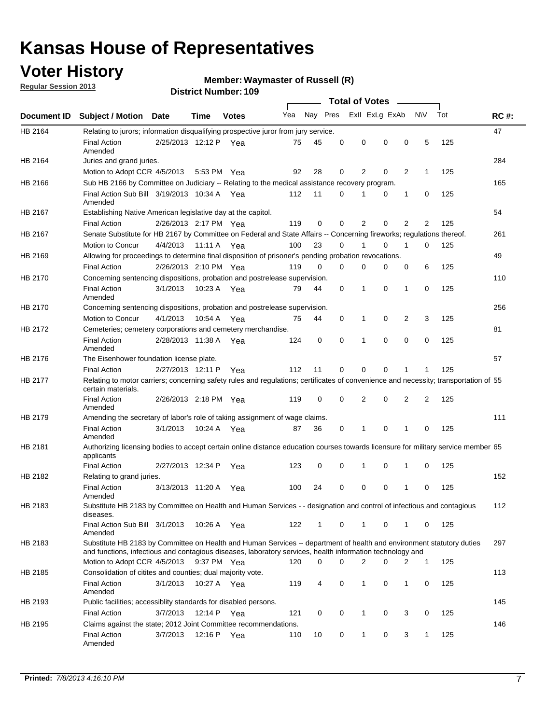## **Voter History**

**Regular Session 2013**

### **Waymaster of Russell (R)**

|                    |                                                                                                                                                                                                                                    |                       |             | טטו הסעוווטנו ועוווט |              |              |          | <b>Total of Votes</b> |          | $\sim$ |                |     |             |
|--------------------|------------------------------------------------------------------------------------------------------------------------------------------------------------------------------------------------------------------------------------|-----------------------|-------------|----------------------|--------------|--------------|----------|-----------------------|----------|--------|----------------|-----|-------------|
| <b>Document ID</b> | <b>Subject / Motion Date</b>                                                                                                                                                                                                       |                       | Time        | <b>Votes</b>         | Yea Nay Pres |              |          | Exll ExLg ExAb        |          |        | <b>NV</b>      | Tot | <b>RC#:</b> |
| HB 2164            | Relating to jurors; information disqualifying prospective juror from jury service.                                                                                                                                                 |                       |             |                      |              |              |          |                       |          |        |                |     | 47          |
|                    | <b>Final Action</b><br>Amended                                                                                                                                                                                                     | 2/25/2013 12:12 P Yea |             |                      | 75           | 45           | 0        | 0                     | 0        | 0      | 5              | 125 |             |
| HB 2164            | Juries and grand juries.                                                                                                                                                                                                           |                       |             |                      |              |              |          |                       |          |        |                |     | 284         |
|                    | Motion to Adopt CCR 4/5/2013                                                                                                                                                                                                       |                       |             | 5:53 PM Yea          | 92           | 28           | 0        | 2                     | 0        | 2      | $\mathbf 1$    | 125 |             |
| HB 2166            | Sub HB 2166 by Committee on Judiciary -- Relating to the medical assistance recovery program.                                                                                                                                      |                       |             |                      |              |              |          |                       |          |        |                |     | 165         |
|                    | Final Action Sub Bill 3/19/2013 10:34 A Yea<br>Amended                                                                                                                                                                             |                       |             |                      | 112          | 11           | 0        | 1                     | 0        | 1      | 0              | 125 |             |
| HB 2167            | Establishing Native American legislative day at the capitol.                                                                                                                                                                       |                       |             |                      |              |              |          |                       |          |        |                |     | 54          |
|                    | <b>Final Action</b>                                                                                                                                                                                                                | 2/26/2013 2:17 PM Yea |             |                      | 119          | 0            | 0        | 2                     | 0        | 2      | 2              | 125 |             |
| HB 2167            | Senate Substitute for HB 2167 by Committee on Federal and State Affairs -- Concerning fireworks; regulations thereof.                                                                                                              |                       |             |                      |              |              |          |                       |          |        |                |     | 261         |
|                    | <b>Motion to Concur</b>                                                                                                                                                                                                            | 4/4/2013              | 11:11 A Yea |                      | 100          | 23           | 0        | 1                     | 0        | 1      | 0              | 125 |             |
| HB 2169            | Allowing for proceedings to determine final disposition of prisoner's pending probation revocations.                                                                                                                               |                       |             |                      |              |              |          |                       |          |        |                |     | 49          |
|                    | <b>Final Action</b>                                                                                                                                                                                                                | 2/26/2013 2:10 PM Yea |             |                      | 119          | 0            | 0        | 0                     | 0        | 0      | 6              | 125 |             |
| HB 2170            | Concerning sentencing dispositions, probation and postrelease supervision.                                                                                                                                                         |                       |             |                      |              |              |          |                       |          |        |                |     | 110         |
|                    | <b>Final Action</b><br>Amended                                                                                                                                                                                                     | 3/1/2013              |             | 10:23 A Yea          | 79           | 44           | 0        | 1                     | 0        | 1      | 0              | 125 |             |
| HB 2170            | Concerning sentencing dispositions, probation and postrelease supervision.                                                                                                                                                         |                       |             |                      |              |              |          |                       |          |        |                |     | 256         |
|                    | Motion to Concur                                                                                                                                                                                                                   | 4/1/2013              | 10:54 A     | Yea                  | 75           | 44           | 0        | $\mathbf{1}$          | 0        | 2      | 3              | 125 |             |
| HB 2172            | Cemeteries; cemetery corporations and cemetery merchandise.                                                                                                                                                                        |                       |             |                      |              |              |          |                       |          |        |                |     | 81          |
|                    | <b>Final Action</b><br>Amended                                                                                                                                                                                                     | 2/28/2013 11:38 A Yea |             |                      | 124          | 0            | $\Omega$ | 1                     | $\Omega$ | 0      | 0              | 125 |             |
| HB 2176            | The Eisenhower foundation license plate.                                                                                                                                                                                           |                       |             |                      |              |              |          |                       |          |        |                |     | 57          |
|                    | <b>Final Action</b>                                                                                                                                                                                                                | 2/27/2013 12:11 P     |             | Yea                  | 112          | 11           | 0        | 0                     | 0        |        | 1              | 125 |             |
| HB 2177            | Relating to motor carriers; concerning safety rules and regulations; certificates of convenience and necessity; transportation of 55<br>certain materials.                                                                         |                       |             |                      |              |              |          |                       |          |        |                |     |             |
|                    | <b>Final Action</b><br>Amended                                                                                                                                                                                                     | 2/26/2013 2:18 PM Yea |             |                      | 119          | 0            | 0        | 2                     | 0        | 2      | $\overline{2}$ | 125 |             |
| HB 2179            | Amending the secretary of labor's role of taking assignment of wage claims.                                                                                                                                                        |                       |             |                      |              |              |          |                       |          |        |                |     | 111         |
|                    | <b>Final Action</b><br>Amended                                                                                                                                                                                                     | 3/1/2013              | 10:24 A Yea |                      | 87           | 36           | 0        | 1                     | $\Omega$ |        | 0              | 125 |             |
| HB 2181            | Authorizing licensing bodies to accept certain online distance education courses towards licensure for military service member 55<br>applicants                                                                                    |                       |             |                      |              |              |          |                       |          |        |                |     |             |
|                    | <b>Final Action</b>                                                                                                                                                                                                                | 2/27/2013 12:34 P     |             | Yea                  | 123          | 0            | 0        | 1                     | 0        | 1      | 0              | 125 |             |
| HB 2182            | Relating to grand juries.                                                                                                                                                                                                          |                       |             |                      |              |              |          |                       |          |        |                |     | 152         |
|                    | <b>Final Action</b><br>Amended                                                                                                                                                                                                     | 3/13/2013 11:20 A     |             | Yea                  | 100          | 24           | 0        | 0                     | 0        | 1      | 0              | 125 |             |
| HB 2183            | Substitute HB 2183 by Committee on Health and Human Services - - designation and control of infectious and contagious<br>diseases.                                                                                                 |                       |             |                      |              |              |          |                       |          |        |                |     | 112         |
|                    | Final Action Sub Bill 3/1/2013<br>Amended                                                                                                                                                                                          |                       |             | 10:26 A Yea          | 122          | $\mathbf{1}$ | 0        | 1                     | 0        | 1      | 0              | 125 |             |
| HB 2183            | Substitute HB 2183 by Committee on Health and Human Services -- department of health and environment statutory duties<br>and functions, infectious and contagious diseases, laboratory services, health information technology and |                       |             |                      |              |              |          |                       |          |        |                |     | 297         |
|                    | Motion to Adopt CCR 4/5/2013                                                                                                                                                                                                       |                       |             | 9:37 PM Yea          | 120          | 0            | 0        | 2                     | 0        | 2      | $\mathbf 1$    | 125 |             |
| HB 2185            | Consolidation of citites and counties; dual majority vote.                                                                                                                                                                         |                       |             |                      |              |              |          |                       |          |        |                |     | 113         |
|                    | <b>Final Action</b><br>Amended                                                                                                                                                                                                     | 3/1/2013              |             | 10:27 A Yea          | 119          | 4            | 0        | 1                     | 0        | 1      | 0              | 125 |             |
| HB 2193            | Public facilities; accessiblity standards for disabled persons.                                                                                                                                                                    |                       |             |                      |              |              |          |                       |          |        |                |     | 145         |
|                    | <b>Final Action</b>                                                                                                                                                                                                                | 3/7/2013              | 12:14 P     | Yea                  | 121          | 0            | 0        | 1                     | 0        | 3      | 0              | 125 |             |
| HB 2195            | Claims against the state; 2012 Joint Committee recommendations.                                                                                                                                                                    |                       |             |                      |              |              |          |                       |          |        |                |     | 146         |
|                    | <b>Final Action</b><br>Amended                                                                                                                                                                                                     | 3/7/2013              |             | 12:16 P Yea          | 110          | 10           | 0        | $\mathbf{1}$          | 0        | 3      | $\mathbf{1}$   | 125 |             |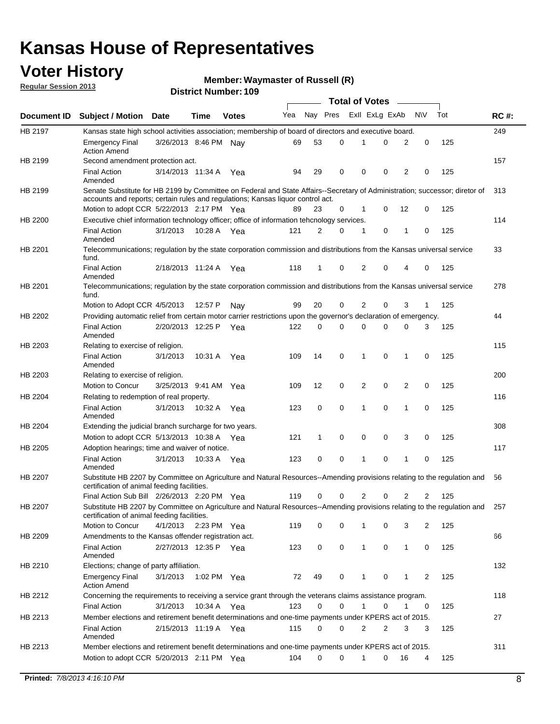## **Voter History**

**Waymaster of Russell (R)**

**Regular Session 2013**

|                |                                                                                                                                                                             |                       |             |              |     |             | <b>Total of Votes</b> |                |   |                |              |     |             |
|----------------|-----------------------------------------------------------------------------------------------------------------------------------------------------------------------------|-----------------------|-------------|--------------|-----|-------------|-----------------------|----------------|---|----------------|--------------|-----|-------------|
| Document ID    | <b>Subject / Motion Date</b>                                                                                                                                                |                       | Time        | <b>Votes</b> | Yea | Nay Pres    |                       | Exll ExLg ExAb |   |                | <b>NV</b>    | Tot | <b>RC#:</b> |
| HB 2197        | Kansas state high school activities association; membership of board of directors and executive board.                                                                      |                       |             |              |     |             |                       |                |   |                |              |     | 249         |
|                | <b>Emergency Final</b><br><b>Action Amend</b>                                                                                                                               | 3/26/2013 8:46 PM Nay |             |              | 69  | 53          | 0                     |                | 0 | 2              | 0            | 125 |             |
| HB 2199        | Second amendment protection act.                                                                                                                                            |                       |             |              |     |             |                       |                |   |                |              |     | 157         |
|                | <b>Final Action</b><br>Amended                                                                                                                                              | 3/14/2013 11:34 A     |             | Yea          | 94  | 29          | 0                     | 0              | 0 | 2              | 0            | 125 |             |
| HB 2199        | Senate Substitute for HB 2199 by Committee on Federal and State Affairs--Secretary of Administration; successor; diretor of                                                 |                       |             |              |     |             |                       |                |   |                |              |     | 313         |
|                | accounts and reports; certain rules and regulations; Kansas liquor control act.                                                                                             |                       |             |              |     |             |                       |                |   |                |              |     |             |
|                | Motion to adopt CCR 5/22/2013 2:17 PM Yea                                                                                                                                   |                       |             |              | 89  | 23          | 0                     | 1              | 0 | 12             | 0            | 125 |             |
| HB 2200        | Executive chief information technology officer; office of information tehcnology services.                                                                                  |                       |             |              |     |             |                       |                |   |                |              |     | 114         |
|                | <b>Final Action</b><br>Amended                                                                                                                                              | 3/1/2013              | 10:28 A     | Yea          | 121 | 2           | 0                     | 1              | 0 | 1              | 0            | 125 |             |
| HB 2201        | Telecommunications; regulation by the state corporation commission and distributions from the Kansas universal service<br>fund.                                             |                       |             |              |     |             |                       |                |   |                |              |     | 33          |
|                | <b>Final Action</b><br>Amended                                                                                                                                              | 2/18/2013 11:24 A     |             | Yea          | 118 | 1           | 0                     | 2              | 0 | 4              | 0            | 125 |             |
| HB 2201        | Telecommunications; regulation by the state corporation commission and distributions from the Kansas universal service<br>fund.                                             |                       |             |              |     |             |                       |                |   |                |              |     | 278         |
|                | Motion to Adopt CCR 4/5/2013                                                                                                                                                |                       | 12:57 P     | Nav          | 99  | 20          | 0                     | 2              | 0 | 3              | $\mathbf{1}$ | 125 |             |
| HB 2202        | Providing automatic relief from certain motor carrier restrictions upon the governor's declaration of emergency.                                                            |                       |             |              |     |             |                       |                |   |                |              |     | 44          |
|                | <b>Final Action</b><br>Amended                                                                                                                                              | 2/20/2013 12:25 P     |             | Yea          | 122 | 0           | 0                     | 0              | 0 | 0              | 3            | 125 |             |
| HB 2203        | Relating to exercise of religion.                                                                                                                                           |                       |             |              |     |             |                       |                |   |                |              |     | 115         |
|                | <b>Final Action</b><br>Amended                                                                                                                                              | 3/1/2013              | 10:31 A     | Yea          | 109 | 14          | 0                     | 1              | 0 | 1              | 0            | 125 |             |
| HB 2203        | Relating to exercise of religion.                                                                                                                                           |                       |             |              |     |             |                       |                |   |                |              |     | 200         |
|                | Motion to Concur                                                                                                                                                            | 3/25/2013 9:41 AM     |             | Yea          | 109 | 12          | 0                     | 2              | 0 | 2              | 0            | 125 |             |
| HB 2204        | Relating to redemption of real property.                                                                                                                                    |                       |             |              |     |             |                       |                |   |                |              |     | 116         |
|                | <b>Final Action</b><br>Amended                                                                                                                                              | 3/1/2013              | 10:32 A     | Yea          | 123 | $\mathbf 0$ | 0                     | 1              | 0 | $\mathbf{1}$   | 0            | 125 |             |
| HB 2204        | Extending the judicial branch surcharge for two years.                                                                                                                      |                       |             |              |     |             |                       |                |   |                |              |     | 308         |
|                | Motion to adopt CCR 5/13/2013 10:38 A Yea                                                                                                                                   |                       |             |              | 121 | 1           | 0                     | 0              | 0 | 3              | 0            | 125 |             |
| HB 2205        | Adoption hearings; time and waiver of notice.                                                                                                                               |                       |             |              |     |             |                       |                |   |                |              |     | 117         |
|                | <b>Final Action</b><br>Amended                                                                                                                                              | 3/1/2013              | 10:33 A Yea |              | 123 | 0           | 0                     | 1              | 0 | 1              | 0            | 125 |             |
| HB 2207        | Substitute HB 2207 by Committee on Agriculture and Natural Resources--Amending provisions relating to the regulation and<br>certification of animal feeding facilities.     |                       |             |              |     |             |                       |                |   |                |              |     | 56          |
|                | Final Action Sub Bill 2/26/2013 2:20 PM Yea                                                                                                                                 |                       |             |              | 119 | 0           | 0                     | 2              | 0 | $\overline{2}$ | 2            | 125 |             |
| <b>HB 2207</b> | Substitute HB 2207 by Committee on Agriculture and Natural Resources--Amending provisions relating to the regulation and 257<br>certification of animal feeding facilities. |                       |             |              |     |             |                       |                |   |                |              |     |             |
|                | Motion to Concur                                                                                                                                                            | 4/1/2013              | 2:23 PM Yea |              | 119 | 0           | 0                     | 1              | 0 | 3              | 2            | 125 |             |
| HB 2209        | Amendments to the Kansas offender registration act.                                                                                                                         |                       |             |              |     |             |                       |                |   |                |              |     | 66          |
|                | <b>Final Action</b><br>Amended                                                                                                                                              | 2/27/2013 12:35 P Yea |             |              | 123 | 0           | 0                     | $\mathbf{1}$   | 0 | $\mathbf{1}$   | 0            | 125 |             |
| HB 2210        | Elections; change of party affiliation.                                                                                                                                     |                       |             |              |     |             |                       |                |   |                |              |     | 132         |
|                | <b>Emergency Final</b><br><b>Action Amend</b>                                                                                                                               | 3/1/2013              | 1:02 PM Yea |              | 72  | 49          | 0                     |                | 0 | 1              | 2            | 125 |             |
| HB 2212        | Concerning the requirements to receiving a service grant through the veterans claims assistance program.                                                                    |                       |             |              |     |             |                       |                |   |                |              |     | 118         |
|                | <b>Final Action</b>                                                                                                                                                         | 3/1/2013              | 10:34 A Yea |              | 123 | 0           | 0                     | $\mathbf{1}$   | 0 | 1              | 0            | 125 |             |
| HB 2213        | Member elections and retirement benefit determinations and one-time payments under KPERS act of 2015.                                                                       |                       |             |              |     |             |                       |                |   |                |              |     | 27          |
|                | <b>Final Action</b><br>Amended                                                                                                                                              | 2/15/2013 11:19 A Yea |             |              | 115 | 0           | 0                     | 2              | 2 | 3              | 3            | 125 |             |
| HB 2213        | Member elections and retirement benefit determinations and one-time payments under KPERS act of 2015.                                                                       |                       |             |              |     |             |                       |                |   |                |              |     | 311         |
|                | Motion to adopt CCR 5/20/2013 2:11 PM Yea                                                                                                                                   |                       |             |              | 104 | $\Omega$    | 0                     | 1              | 0 | 16             | 4            | 125 |             |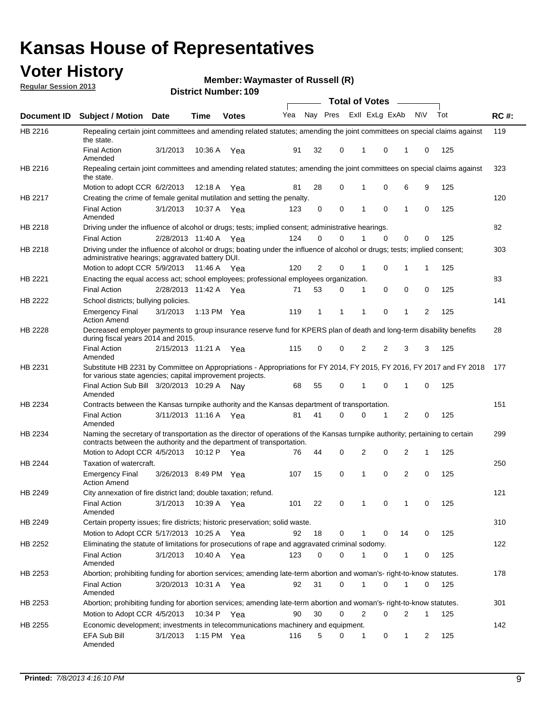## **Voter History**

**Waymaster of Russell (R)**

**Regular Session 2013**

|             |                                                                                                                                                                                                       |                       |             | <b>DISTRICT MUTHDEL: 109</b> |     |              |             |                | Total of Votes – |                |           |     |             |
|-------------|-------------------------------------------------------------------------------------------------------------------------------------------------------------------------------------------------------|-----------------------|-------------|------------------------------|-----|--------------|-------------|----------------|------------------|----------------|-----------|-----|-------------|
| Document ID | <b>Subject / Motion</b>                                                                                                                                                                               | <b>Date</b>           | <b>Time</b> | <b>Votes</b>                 | Yea | Nay Pres     |             |                | Exll ExLg ExAb   |                | <b>NV</b> | Tot | <b>RC#:</b> |
| HB 2216     | Repealing certain joint committees and amending related statutes; amending the joint committees on special claims against<br>the state.                                                               |                       |             |                              |     |              |             |                |                  |                |           |     | 119         |
|             | <b>Final Action</b><br>Amended                                                                                                                                                                        | 3/1/2013              | 10:36 A     | Yea                          | 91  | 32           | 0           | 1              | 0                | 1              | 0         | 125 |             |
| HB 2216     | Repealing certain joint committees and amending related statutes; amending the joint committees on special claims against<br>the state.                                                               |                       |             |                              |     |              |             |                |                  |                |           |     | 323         |
|             | Motion to adopt CCR 6/2/2013                                                                                                                                                                          |                       | 12:18 A     | Yea                          | 81  | 28           | 0           |                | 0                | 6              | 9         | 125 |             |
| HB 2217     | Creating the crime of female genital mutilation and setting the penalty.                                                                                                                              |                       |             |                              |     |              |             |                |                  |                |           |     | 120         |
|             | <b>Final Action</b><br>Amended                                                                                                                                                                        | 3/1/2013              | 10:37 A Yea |                              | 123 | 0            | 0           | 1              | $\mathbf 0$      | $\mathbf{1}$   | 0         | 125 |             |
| HB 2218     | Driving under the influence of alcohol or drugs; tests; implied consent; administrative hearings.                                                                                                     |                       |             |                              |     |              |             |                |                  |                |           |     | 82          |
|             | <b>Final Action</b>                                                                                                                                                                                   | 2/28/2013 11:40 A Yea |             |                              | 124 | 0            | $\Omega$    | 1              | $\Omega$         | 0              | $\Omega$  | 125 |             |
| HB 2218     | Driving under the influence of alcohol or drugs; boating under the influence of alcohol or drugs; tests; implied consent;<br>administrative hearings; aggravated battery DUI.                         |                       |             |                              |     |              |             |                |                  |                |           |     | 303         |
|             | Motion to adopt CCR 5/9/2013                                                                                                                                                                          |                       | 11:46 A     | Yea                          | 120 | 2            | 0           | 1              | 0                | 1              | 1         | 125 |             |
| HB 2221     | Enacting the equal access act; school employees; professional employees organization.                                                                                                                 |                       |             |                              |     |              |             |                |                  |                |           |     | 83          |
|             | <b>Final Action</b>                                                                                                                                                                                   | 2/28/2013 11:42 A     |             | Yea                          | 71  | 53           | 0           | 1              | 0                | 0              | 0         | 125 |             |
| HB 2222     | School districts; bullying policies.                                                                                                                                                                  |                       |             |                              |     |              |             |                |                  |                |           |     | 141         |
|             | <b>Emergency Final</b><br><b>Action Amend</b>                                                                                                                                                         | 3/1/2013              |             | 1:13 PM Yea                  | 119 | $\mathbf{1}$ | 1           | 1              | 0                | $\mathbf{1}$   | 2         | 125 |             |
| HB 2228     | Decreased employer payments to group insurance reserve fund for KPERS plan of death and long-term disability benefits<br>during fiscal years 2014 and 2015.                                           |                       |             |                              |     |              |             |                |                  |                |           |     | 28          |
|             | <b>Final Action</b><br>Amended                                                                                                                                                                        | 2/15/2013 11:21 A     |             | Yea                          | 115 | 0            | 0           | 2              | 2                | 3              | 3         | 125 |             |
| HB 2231     | Substitute HB 2231 by Committee on Appropriations - Appropriations for FY 2014, FY 2015, FY 2016, FY 2017 and FY 2018<br>for various state agencies; capital improvement projects.                    |                       |             |                              |     |              |             |                |                  |                |           |     | 177         |
|             | Final Action Sub Bill 3/20/2013 10:29 A<br>Amended                                                                                                                                                    |                       |             | Nav                          | 68  | 55           | 0           | 1              | 0                | 1              | 0         | 125 |             |
| HB 2234     | Contracts between the Kansas turnpike authority and the Kansas department of transportation.                                                                                                          |                       |             |                              |     |              |             |                |                  |                |           |     | 151         |
|             | <b>Final Action</b><br>Amended                                                                                                                                                                        | 3/11/2013 11:16 A Yea |             |                              | 81  | 41           | $\Omega$    | $\Omega$       | 1                | 2              | 0         | 125 |             |
| HB 2234     | Naming the secretary of transportation as the director of operations of the Kansas turnpike authority; pertaining to certain<br>contracts between the authority and the department of transportation. |                       |             |                              |     |              |             |                |                  |                |           |     | 299         |
|             | Motion to Adopt CCR 4/5/2013                                                                                                                                                                          |                       | 10:12 P     | Yea                          | 76  | 44           | 0           | 2              | 0                | 2              | 1         | 125 |             |
| HB 2244     | Taxation of watercraft.<br><b>Emergency Final</b>                                                                                                                                                     | 3/26/2013 8:49 PM Yea |             |                              | 107 | 15           | 0           | 1              | 0                | $\overline{2}$ | 0         | 125 | 250         |
|             | <b>Action Amend</b>                                                                                                                                                                                   |                       |             |                              |     |              |             |                |                  |                |           |     |             |
| HB 2249     | City annexation of fire district land; double taxation; refund.                                                                                                                                       |                       |             |                              |     |              |             |                |                  |                |           |     | 121         |
|             | <b>Final Action</b><br>Amended                                                                                                                                                                        | 3/1/2013 10:39 A Yea  |             |                              | 101 | 22           | $\mathbf 0$ | $\overline{1}$ | $\mathbf 0$      |                | 0         | 125 |             |
| HB 2249     | Certain property issues; fire districts; historic preservation; solid waste.                                                                                                                          |                       |             |                              |     |              |             |                |                  |                |           |     | 310         |
|             | Motion to Adopt CCR 5/17/2013 10:25 A Yea                                                                                                                                                             |                       |             |                              | 92  | 18           | 0           | 1              | 0                | 14             | 0         | 125 |             |
| HB 2252     | Eliminating the statute of limitations for prosecutions of rape and aggravated criminal sodomy.                                                                                                       |                       |             |                              |     |              |             |                |                  |                |           |     | 122         |
|             | <b>Final Action</b><br>Amended                                                                                                                                                                        | 3/1/2013              |             | 10:40 A Yea                  | 123 | 0            | 0           | 1              | 0                | $\mathbf{1}$   | 0         | 125 |             |
| HB 2253     | Abortion; prohibiting funding for abortion services; amending late-term abortion and woman's- right-to-know statutes.                                                                                 |                       |             |                              |     |              |             |                |                  |                |           |     | 178         |
|             | <b>Final Action</b><br>Amended                                                                                                                                                                        | 3/20/2013 10:31 A Yea |             |                              | 92  | 31           | 0           | 1              | 0                | 1              | 0         | 125 |             |
| HB 2253     | Abortion; prohibiting funding for abortion services; amending late-term abortion and woman's- right-to-know statutes.                                                                                 |                       |             |                              |     |              |             |                |                  |                |           |     | 301         |
|             | Motion to Adopt CCR 4/5/2013                                                                                                                                                                          |                       | 10:34 P     | Yea                          | 90  | 30           | 0           | 2              | 0                | 2              | 1         | 125 |             |
| HB 2255     | Economic development; investments in telecommunications machinery and equipment.                                                                                                                      |                       |             |                              |     |              |             |                |                  |                |           |     | 142         |
|             | EFA Sub Bill<br>Amended                                                                                                                                                                               | 3/1/2013              |             | 1:15 PM $Yea$                | 116 | 5            | 0           | 1              | 0                | 1              | 2         | 125 |             |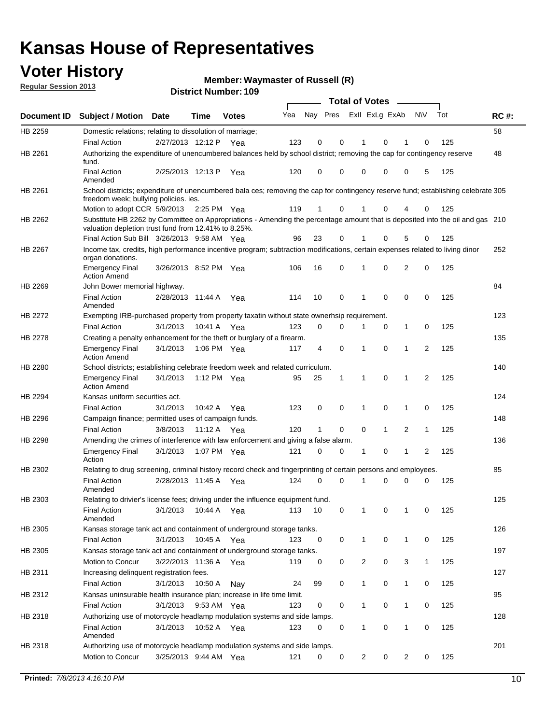## **Voter History**

**Waymaster of Russell (R)**

**Regular Session 2013**

|                    |                                                                                                                                                                                       |                       |             | שטו וטג וזעווווט <del>כ</del> ו. וטט |     |                         |             | <b>Total of Votes</b> |              | $\sim$         |              |     |             |
|--------------------|---------------------------------------------------------------------------------------------------------------------------------------------------------------------------------------|-----------------------|-------------|--------------------------------------|-----|-------------------------|-------------|-----------------------|--------------|----------------|--------------|-----|-------------|
| <b>Document ID</b> | <b>Subject / Motion</b>                                                                                                                                                               | Date                  | Time        | <b>Votes</b>                         | Yea | Nay Pres Exll ExLg ExAb |             |                       |              |                | N\V          | Tot | <b>RC#:</b> |
| HB 2259            | Domestic relations; relating to dissolution of marriage;                                                                                                                              |                       |             |                                      |     |                         |             |                       |              |                |              |     | 58          |
|                    | <b>Final Action</b>                                                                                                                                                                   | 2/27/2013 12:12 P     |             | Yea                                  | 123 | 0                       | 0           | 1                     | 0            | 1              | $\Omega$     | 125 |             |
| HB 2261            | Authorizing the expenditure of unencumbered balances held by school district; removing the cap for contingency reserve<br>fund.                                                       |                       |             |                                      |     |                         |             |                       |              |                |              |     | 48          |
|                    | <b>Final Action</b><br>Amended                                                                                                                                                        | 2/25/2013 12:13 P     |             | Yea                                  | 120 | 0                       | 0           | 0                     | 0            | 0              | 5            | 125 |             |
| HB 2261            | School districts; expenditure of unencumbered bala ces; removing the cap for contingency reserve fund; establishing celebrate 305<br>freedom week; bullying policies. ies.            |                       |             |                                      |     |                         |             |                       |              |                |              |     |             |
|                    | Motion to adopt CCR 5/9/2013                                                                                                                                                          |                       | 2:25 PM Yea |                                      | 119 | 1                       | 0           |                       | 0            | 4              | 0            | 125 |             |
| HB 2262            | Substitute HB 2262 by Committee on Appropriations - Amending the percentage amount that is deposited into the oil and gas 210<br>valuation depletion trust fund from 12.41% to 8.25%. |                       |             |                                      |     |                         |             |                       |              |                |              |     |             |
|                    | Final Action Sub Bill 3/26/2013 9:58 AM Yea                                                                                                                                           |                       |             |                                      | 96  | 23                      | 0           |                       | 0            | 5              | 0            | 125 |             |
| HB 2267            | Income tax, credits, high performance incentive program; subtraction modifications, certain expenses related to living dinor<br>organ donations.                                      |                       |             |                                      |     |                         |             |                       |              |                |              |     | 252         |
|                    | <b>Emergency Final</b><br><b>Action Amend</b>                                                                                                                                         | 3/26/2013 8:52 PM Yea |             |                                      | 106 | 16                      | 0           | 1                     | 0            | 2              | 0            | 125 |             |
| HB 2269            | John Bower memorial highway.                                                                                                                                                          |                       |             |                                      |     |                         |             |                       |              |                |              |     | 84          |
|                    | <b>Final Action</b><br>Amended                                                                                                                                                        | 2/28/2013 11:44 A Yea |             |                                      | 114 | 10                      | 0           | 1                     | 0            | 0              | 0            | 125 |             |
| HB 2272            | Exempting IRB-purchased property from property taxatin without state ownerhsip requirement.                                                                                           |                       |             |                                      |     |                         |             |                       |              |                |              |     | 123         |
|                    | <b>Final Action</b>                                                                                                                                                                   | 3/1/2013              | 10:41 A Yea |                                      | 123 | 0                       | 0           | 1                     | 0            | $\mathbf{1}$   | 0            | 125 |             |
| HB 2278            | Creating a penalty enhancement for the theft or burglary of a firearm.                                                                                                                |                       |             |                                      |     |                         |             |                       |              |                |              |     | 135         |
|                    | <b>Emergency Final</b><br><b>Action Amend</b>                                                                                                                                         | 3/1/2013              | 1:06 PM Yea |                                      | 117 | 4                       | $\mathbf 0$ | $\mathbf 1$           | $\Omega$     | 1              | 2            | 125 |             |
| HB 2280            | School districts; establishing celebrate freedom week and related curriculum.                                                                                                         |                       |             |                                      |     |                         |             |                       |              |                |              |     | 140         |
|                    | <b>Emergency Final</b><br><b>Action Amend</b>                                                                                                                                         | 3/1/2013              | 1:12 PM Yea |                                      | 95  | 25                      | 1           | 1                     | 0            | 1              | 2            | 125 |             |
| HB 2294            | Kansas uniform securities act.                                                                                                                                                        |                       |             |                                      |     |                         |             |                       |              |                |              |     | 124         |
|                    | <b>Final Action</b>                                                                                                                                                                   | 3/1/2013              | 10:42 A Yea |                                      | 123 | 0                       | 0           | 1                     | 0            | 1              | 0            | 125 |             |
| HB 2296            | Campaign finance; permitted uses of campaign funds.                                                                                                                                   |                       |             |                                      |     |                         |             |                       |              |                |              |     | 148         |
|                    | <b>Final Action</b>                                                                                                                                                                   | 3/8/2013              | 11:12 A Yea |                                      | 120 | $\mathbf{1}$            | 0           | 0                     | $\mathbf{1}$ | $\overline{2}$ | $\mathbf{1}$ | 125 |             |
| HB 2298            | Amending the crimes of interference with law enforcement and giving a false alarm.                                                                                                    |                       |             |                                      |     |                         |             |                       |              |                |              |     | 136         |
|                    | <b>Emergency Final</b><br>Action                                                                                                                                                      | 3/1/2013              | 1:07 PM Yea |                                      | 121 | 0                       | 0           | 1                     | 0            | $\mathbf{1}$   | 2            | 125 |             |
| HB 2302            | Relating to drug screening, criminal history record check and fingerprinting of certain persons and employees.                                                                        |                       |             |                                      |     |                         |             |                       |              |                |              |     | 85          |
|                    | <b>Final Action</b><br>Amended                                                                                                                                                        | 2/28/2013 11:45 A Yea |             |                                      | 124 | 0                       | $\Omega$    | 1                     | 0            | 0              | $\mathbf 0$  | 125 |             |
| HB 2303            | Relating to drivier's license fees; driving under the influence equipment fund.                                                                                                       |                       |             |                                      |     |                         |             |                       |              |                |              |     | 125         |
|                    | <b>Final Action</b><br>Amended                                                                                                                                                        | 3/1/2013              | 10:44 A     | Yea                                  | 113 | 10                      | 0           | $\mathbf 1$           | 0            | 1              | 0            | 125 |             |
| HB 2305            | Kansas storage tank act and containment of underground storage tanks.                                                                                                                 |                       |             |                                      |     |                         |             |                       |              |                |              |     | 126         |
|                    | <b>Final Action</b>                                                                                                                                                                   | 3/1/2013              | 10:45 A     | Yea                                  | 123 | 0                       | 0           | 1                     | 0            | 1              | 0            | 125 |             |
| HB 2305            | Kansas storage tank act and containment of underground storage tanks.                                                                                                                 |                       |             |                                      |     |                         |             |                       |              |                |              |     | 197         |
|                    | Motion to Concur                                                                                                                                                                      | 3/22/2013 11:36 A     |             | Yea                                  | 119 | 0                       | 0           | 2                     | 0            | 3              | $\mathbf{1}$ | 125 |             |
| HB 2311            | Increasing delinquent registration fees.                                                                                                                                              |                       |             |                                      |     |                         |             |                       |              |                |              |     | 127         |
|                    | <b>Final Action</b>                                                                                                                                                                   | 3/1/2013              | 10:50 A     | Nay                                  | 24  | 99                      | 0           | $\mathbf{1}$          | 0            | $\mathbf{1}$   | 0            | 125 |             |
| HB 2312            | Kansas uninsurable health insurance plan; increase in life time limit.                                                                                                                |                       |             |                                      |     |                         |             |                       |              |                |              |     | 95          |
|                    | <b>Final Action</b>                                                                                                                                                                   | 3/1/2013              | 9:53 AM Yea |                                      | 123 | 0                       | 0           | 1                     | 0            | 1              | 0            | 125 |             |
| HB 2318            | Authorizing use of motorcycle headlamp modulation systems and side lamps.                                                                                                             |                       |             |                                      |     |                         |             |                       |              |                |              |     | 128         |
|                    | <b>Final Action</b><br>Amended                                                                                                                                                        | 3/1/2013              | 10:52 A Yea |                                      | 123 | 0                       | 0           | 1                     | 0            | 1              | 0            | 125 |             |
| HB 2318            | Authorizing use of motorcycle headlamp modulation systems and side lamps.                                                                                                             |                       |             |                                      |     |                         |             |                       |              |                |              |     | 201         |
|                    | Motion to Concur                                                                                                                                                                      | 3/25/2013 9:44 AM Yea |             |                                      | 121 | 0                       | 0           | 2                     | 0            | $\overline{2}$ | 0            | 125 |             |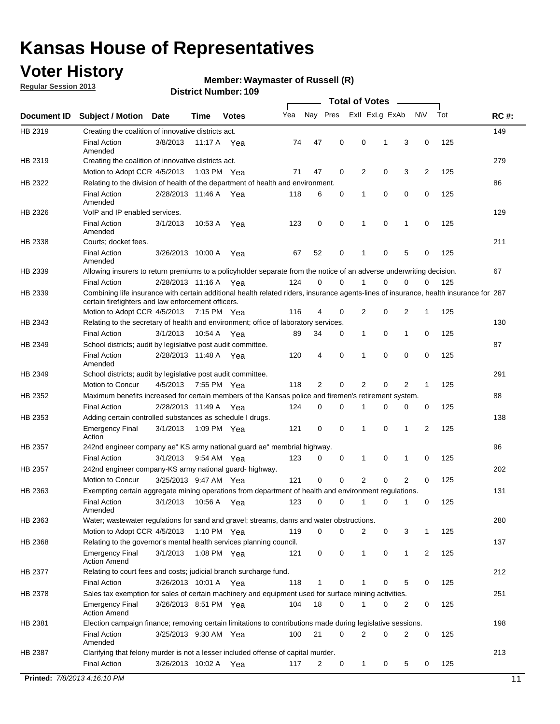## **Voter History**

**Regular Session 2013**

#### **Waymaster of Russell (R)**

|             |                                                                                                                                                                                             |                       |             |              |     |             |             | <b>Total of Votes</b> |   |                |           |     |             |
|-------------|---------------------------------------------------------------------------------------------------------------------------------------------------------------------------------------------|-----------------------|-------------|--------------|-----|-------------|-------------|-----------------------|---|----------------|-----------|-----|-------------|
| Document ID | <b>Subject / Motion</b>                                                                                                                                                                     | Date                  | Time        | <b>Votes</b> | Yea | Nay Pres    |             | Exll ExLg ExAb        |   |                | <b>NV</b> | Tot | <b>RC#:</b> |
| HB 2319     | Creating the coalition of innovative districts act.                                                                                                                                         |                       |             |              |     |             |             |                       |   |                |           |     | 149         |
|             | <b>Final Action</b><br>Amended                                                                                                                                                              | 3/8/2013              | 11:17 A     | Yea          | 74  | 47          | 0           | 0                     | 1 | 3              | 0         | 125 |             |
| HB 2319     | Creating the coalition of innovative districts act.                                                                                                                                         |                       |             |              |     |             |             |                       |   |                |           |     | 279         |
|             | Motion to Adopt CCR 4/5/2013                                                                                                                                                                |                       | 1:03 PM Yea |              | 71  | 47          | 0           | 2                     | 0 | 3              | 2         | 125 |             |
| HB 2322     | Relating to the division of health of the department of health and environment.                                                                                                             |                       |             |              |     |             |             |                       |   |                |           |     | 86          |
|             | <b>Final Action</b><br>Amended                                                                                                                                                              | 2/28/2013 11:46 A Yea |             |              | 118 | 6           | 0           | 1                     | 0 | 0              | 0         | 125 |             |
| HB 2326     | VoIP and IP enabled services.                                                                                                                                                               |                       |             |              |     |             |             |                       |   |                |           |     | 129         |
|             | <b>Final Action</b><br>Amended                                                                                                                                                              | 3/1/2013              | 10:53 A     | Yea          | 123 | $\mathbf 0$ | 0           | 1                     | 0 | 1              | 0         | 125 |             |
| HB 2338     | Courts; docket fees.                                                                                                                                                                        |                       |             |              |     |             |             |                       |   |                |           |     | 211         |
|             | <b>Final Action</b><br>Amended                                                                                                                                                              | 3/26/2013 10:00 A     |             | Yea          | 67  | 52          | 0           | 1                     | 0 | 5              | 0         | 125 |             |
| HB 2339     | Allowing insurers to return premiums to a policyholder separate from the notice of an adverse underwriting decision.                                                                        |                       |             |              |     |             |             |                       |   |                |           |     | 67          |
|             | <b>Final Action</b>                                                                                                                                                                         | 2/28/2013 11:16 A Yea |             |              | 124 | 0           | 0           |                       | 0 | 0              | 0         | 125 |             |
| HB 2339     | Combining life insurance with certain additional health related riders, insurance agents-lines of insurance, health insurance for 287<br>certain firefighters and law enforcement officers. |                       |             |              |     |             |             |                       |   |                |           |     |             |
|             | Motion to Adopt CCR 4/5/2013 7:15 PM Yea                                                                                                                                                    |                       |             |              | 116 | 4           | 0           | 2                     | 0 | 2              | -1        | 125 |             |
| HB 2343     | Relating to the secretary of health and environment; office of laboratory services.                                                                                                         |                       |             |              |     |             |             |                       |   |                |           |     | 130         |
|             | <b>Final Action</b>                                                                                                                                                                         | 3/1/2013              | 10:54 A Yea |              | 89  | 34          | 0           | 1                     | 0 | 1              | 0         | 125 |             |
| HB 2349     | School districts; audit by legislative post audit committee.                                                                                                                                |                       |             |              |     |             |             |                       |   |                |           |     | 87          |
|             | <b>Final Action</b><br>Amended                                                                                                                                                              | 2/28/2013 11:48 A Yea |             |              | 120 | 4           | $\mathbf 0$ | 1                     | 0 | 0              | 0         | 125 |             |
| HB 2349     | School districts; audit by legislative post audit committee.                                                                                                                                |                       |             |              |     |             |             |                       |   |                |           |     | 291         |
|             | Motion to Concur                                                                                                                                                                            | 4/5/2013              | 7:55 PM Yea |              | 118 | 2           | $\mathbf 0$ | 2                     | 0 | 2              | 1         | 125 |             |
| HB 2352     | Maximum benefits increased for certain members of the Kansas police and firemen's retirement system.                                                                                        |                       |             |              |     |             |             |                       |   |                |           |     | 88          |
|             | <b>Final Action</b>                                                                                                                                                                         | 2/28/2013 11:49 A     |             | Yea          | 124 | 0           | 0           | 1                     | 0 | 0              | 0         | 125 |             |
| HB 2353     | Adding certain controlled substances as schedule I drugs.                                                                                                                                   |                       |             |              |     |             |             |                       |   |                |           |     | 138         |
|             | <b>Emergency Final</b><br>Action                                                                                                                                                            | 3/1/2013              |             | 1:09 PM Yea  | 121 | 0           | 0           | 1                     | 0 | 1              | 2         | 125 |             |
| HB 2357     | 242nd engineer company ae" KS army national guard ae" membrial highway.                                                                                                                     |                       |             |              |     |             |             |                       |   |                |           |     | 96          |
|             | <b>Final Action</b>                                                                                                                                                                         | 3/1/2013              | 9:54 AM Yea |              | 123 | 0           | 0           | 1                     | 0 | 1              | 0         | 125 |             |
| HB 2357     | 242nd engineer company-KS army national guard- highway.                                                                                                                                     |                       |             |              |     |             |             |                       |   |                |           |     | 202         |
|             | Motion to Concur                                                                                                                                                                            | 3/25/2013 9:47 AM Yea |             |              | 121 | $\mathbf 0$ | $\mathbf 0$ | $\overline{2}$        | 0 | $\overline{2}$ | 0         | 125 |             |
| HB 2363     | Exempting certain aggregate mining operations from department of health and environment regulations.                                                                                        |                       |             |              |     |             |             |                       |   |                |           |     | 131         |
|             | <b>Final Action</b><br>Amended                                                                                                                                                              | 3/1/2013              | 10:56 A     | Yea          | 123 | 0           | 0           | 1                     | 0 | 1              | 0         | 125 |             |
| HB 2363     | Water; wastewater regulations for sand and gravel; streams, dams and water obstructions.                                                                                                    |                       |             |              |     |             |             |                       |   |                |           |     | 280         |
|             | Motion to Adopt CCR 4/5/2013                                                                                                                                                                |                       |             | 1:10 PM Yea  | 119 | 0           | 0           | 2                     | 0 | 3              |           | 125 |             |
| HB 2368     | Relating to the governor's mental health services planning council.                                                                                                                         |                       |             |              |     |             |             |                       |   |                |           |     | 137         |
|             | Emergency Final<br><b>Action Amend</b>                                                                                                                                                      | 3/1/2013              | 1:08 PM Yea |              | 121 | 0           | 0           | $\mathbf{1}$          | 0 | 1              | 2         | 125 |             |
| HB 2377     | Relating to court fees and costs; judicial branch surcharge fund.                                                                                                                           |                       |             |              |     |             |             |                       |   |                |           |     | 212         |
|             | <b>Final Action</b>                                                                                                                                                                         | 3/26/2013 10:01 A Yea |             |              | 118 | 1           | 0           |                       | 0 | 5              | 0         | 125 |             |
| HB 2378     | Sales tax exemption for sales of certain machinery and equipment used for surface mining activities.                                                                                        |                       |             |              |     |             |             |                       |   |                |           |     | 251         |
|             | <b>Emergency Final</b><br><b>Action Amend</b>                                                                                                                                               | 3/26/2013 8:51 PM Yea |             |              | 104 | 18          | 0           | 1                     | 0 | 2              | 0         | 125 |             |
| HB 2381     | Election campaign finance; removing certain limitations to contributions made during legislative sessions.                                                                                  |                       |             |              |     |             |             |                       |   |                |           |     | 198         |
|             | Final Action<br>Amended                                                                                                                                                                     | 3/25/2013 9:30 AM Yea |             |              | 100 | 21          | 0           | 2                     | 0 | 2              | 0         | 125 |             |
| HB 2387     | Clarifying that felony murder is not a lesser included offense of capital murder.                                                                                                           |                       |             |              |     |             |             |                       |   |                |           |     | 213         |
|             | <b>Final Action</b>                                                                                                                                                                         | 3/26/2013 10:02 A     |             | Yea          | 117 | 2           | 0           | $\mathbf{1}$          | 0 | 5              | 0         | 125 |             |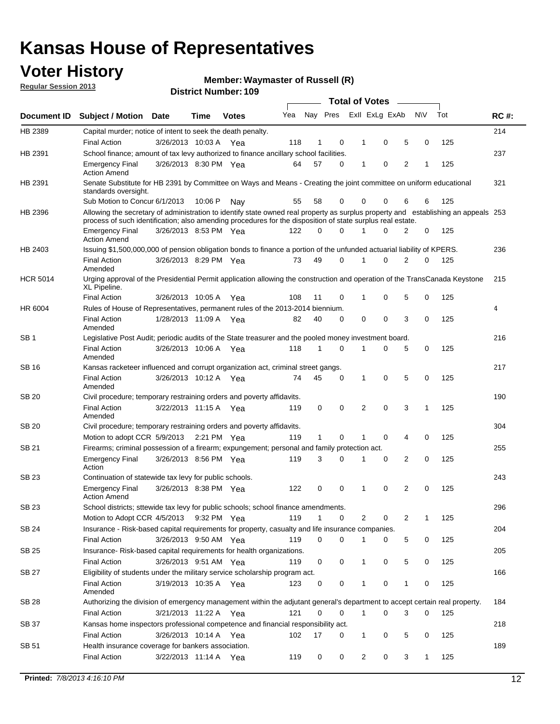## **Voter History**

**Regular Session 2013**

**Waymaster of Russell (R)**

|                 |                                                                                                                                                                                                                                                  |                       |         | แ เงเ เงนเเมษะเ . เงฮ |     |              |             |                | <b>Total of Votes</b>   | $\overline{\phantom{a}}$ |             |     |                |
|-----------------|--------------------------------------------------------------------------------------------------------------------------------------------------------------------------------------------------------------------------------------------------|-----------------------|---------|-----------------------|-----|--------------|-------------|----------------|-------------------------|--------------------------|-------------|-----|----------------|
| Document ID     | <b>Subject / Motion Date</b>                                                                                                                                                                                                                     |                       | Time    | <b>Votes</b>          | Yea |              |             |                | Nay Pres Exll ExLg ExAb |                          | N\V         | Tot | <b>RC#:</b>    |
| HB 2389         | Capital murder; notice of intent to seek the death penalty.                                                                                                                                                                                      |                       |         |                       |     |              |             |                |                         |                          |             |     | 214            |
|                 | <b>Final Action</b>                                                                                                                                                                                                                              | 3/26/2013 10:03 A Yea |         |                       | 118 | 1            | 0           | -1             | 0                       | 5                        | 0           | 125 |                |
| HB 2391         | School finance; amount of tax levy authorized to finance ancillary school facilities.                                                                                                                                                            |                       |         |                       |     |              |             |                |                         |                          |             |     | 237            |
|                 | <b>Emergency Final</b><br><b>Action Amend</b>                                                                                                                                                                                                    | 3/26/2013 8:30 PM Yea |         |                       | 64  | 57           | 0           | $\mathbf{1}$   | $\mathbf 0$             | $\overline{2}$           | 1           | 125 |                |
| HB 2391         | Senate Substitute for HB 2391 by Committee on Ways and Means - Creating the joint committee on uniform educational<br>standards oversight.                                                                                                       |                       |         |                       |     |              |             |                |                         |                          |             |     | 321            |
|                 | Sub Motion to Concur 6/1/2013                                                                                                                                                                                                                    |                       | 10:06 P | Nav                   | 55  | 58           | 0           | $\Omega$       | $\Omega$                | 6                        | 6           | 125 |                |
| HB 2396         | Allowing the secretary of administration to identify state owned real property as surplus property and establishing an appeals 253<br>process of such identification; also amending procedures for the disposition of state surplus real estate. |                       |         |                       |     |              |             |                |                         |                          |             |     |                |
|                 | <b>Emergency Final</b><br><b>Action Amend</b>                                                                                                                                                                                                    | 3/26/2013 8:53 PM Yea |         |                       | 122 | $\Omega$     | 0           |                | 0                       | 2                        | 0           | 125 |                |
| HB 2403         | Issuing \$1,500,000,000 of pension obligation bonds to finance a portion of the unfunded actuarial liability of KPERS.                                                                                                                           |                       |         |                       |     |              |             |                |                         |                          |             |     | 236            |
|                 | <b>Final Action</b><br>Amended                                                                                                                                                                                                                   | 3/26/2013 8:29 PM Yea |         |                       | 73  | 49           | 0           | 1              | 0                       | $\overline{2}$           | 0           | 125 |                |
| <b>HCR 5014</b> | Urging approval of the Presidential Permit application allowing the construction and operation of the TransCanada Keystone<br>XL Pipeline.                                                                                                       |                       |         |                       |     |              |             |                |                         |                          |             |     | 215            |
|                 | <b>Final Action</b>                                                                                                                                                                                                                              | 3/26/2013 10:05 A     |         | Yea                   | 108 | 11           | 0           | 1              | 0                       | 5                        | 0           | 125 |                |
| HR 6004         | Rules of House of Representatives, permanent rules of the 2013-2014 biennium.                                                                                                                                                                    |                       |         |                       |     |              |             |                |                         |                          |             |     | $\overline{4}$ |
|                 | <b>Final Action</b><br>Amended                                                                                                                                                                                                                   | 1/28/2013 11:09 A Yea |         |                       | 82  | 40           | 0           | 0              | 0                       | 3                        | 0           | 125 |                |
| SB <sub>1</sub> | Legislative Post Audit; periodic audits of the State treasurer and the pooled money investment board.                                                                                                                                            |                       |         |                       |     |              |             |                |                         |                          |             |     | 216            |
|                 | <b>Final Action</b><br>Amended                                                                                                                                                                                                                   | 3/26/2013 10:06 A     |         | Yea                   | 118 | 1            | $\Omega$    | $\mathbf{1}$   | $\Omega$                | 5                        | $\mathbf 0$ | 125 |                |
| SB 16           | Kansas racketeer influenced and corrupt organization act, criminal street gangs.                                                                                                                                                                 |                       |         |                       |     |              |             |                |                         |                          |             |     | 217            |
|                 | <b>Final Action</b><br>Amended                                                                                                                                                                                                                   | 3/26/2013 10:12 A Yea |         |                       | 74  | 45           | 0           | $\mathbf{1}$   | $\mathbf 0$             | 5                        | 0           | 125 |                |
| <b>SB 20</b>    | Civil procedure; temporary restraining orders and poverty affidavits.                                                                                                                                                                            |                       |         |                       |     |              |             |                |                         |                          |             |     | 190            |
|                 | <b>Final Action</b><br>Amended                                                                                                                                                                                                                   | 3/22/2013 11:15 A Yea |         |                       | 119 | 0            | $\mathbf 0$ | $\overline{2}$ | $\mathbf 0$             | 3                        | 1           | 125 |                |
| SB 20           | Civil procedure; temporary restraining orders and poverty affidavits.                                                                                                                                                                            |                       |         |                       |     |              |             |                |                         |                          |             |     | 304            |
|                 | Motion to adopt CCR 5/9/2013                                                                                                                                                                                                                     |                       |         | 2:21 PM Yea           | 119 | $\mathbf{1}$ | 0           | 1              | 0                       | 4                        | 0           | 125 |                |
| SB 21           | Firearms; criminal possession of a firearm; expungement; personal and family protection act.                                                                                                                                                     |                       |         |                       |     |              |             |                |                         |                          |             |     | 255            |
|                 | <b>Emergency Final</b><br>Action                                                                                                                                                                                                                 | 3/26/2013 8:56 PM Yea |         |                       | 119 | 3            | 0           | $\mathbf 1$    | 0                       | $\overline{2}$           | 0           | 125 |                |
| <b>SB 23</b>    | Continuation of statewide tax levy for public schools.                                                                                                                                                                                           |                       |         |                       |     |              |             |                |                         |                          |             |     | 243            |
|                 | <b>Emergency Final</b><br><b>Action Amend</b>                                                                                                                                                                                                    | 3/26/2013 8:38 PM Yea |         |                       | 122 | 0            | $\mathbf 0$ | $\mathbf 1$    | $\Omega$                | $\overline{2}$           | 0           | 125 |                |
| SB 23           | School districts; sttewide tax levy for public schools; school finance amendments.                                                                                                                                                               |                       |         |                       |     |              |             |                |                         |                          |             |     | 296            |
|                 | Motion to Adopt CCR 4/5/2013                                                                                                                                                                                                                     |                       |         | 9:32 PM Yea           | 119 | 1            | 0           | 2              | 0                       | 2                        | 1           | 125 |                |
| SB 24           | Insurance - Risk-based capital requirements for property, casualty and life insurance companies.                                                                                                                                                 |                       |         |                       |     |              |             |                |                         |                          |             |     | 204            |
|                 | <b>Final Action</b>                                                                                                                                                                                                                              | 3/26/2013 9:50 AM Yea |         |                       | 119 | 0            | 0           | 1              | 0                       | 5                        | 0           | 125 |                |
| <b>SB 25</b>    | Insurance-Risk-based capital requirements for health organizations.                                                                                                                                                                              |                       |         |                       |     |              |             |                |                         |                          |             |     | 205            |
|                 | <b>Final Action</b>                                                                                                                                                                                                                              | 3/26/2013 9:51 AM Yea |         |                       | 119 | 0            | 0           | 1              | 0                       | 5                        | 0           | 125 |                |
| SB 27           | Eligibility of students under the military service scholarship program act.                                                                                                                                                                      |                       |         |                       |     |              |             |                |                         |                          |             |     | 166            |
|                 | <b>Final Action</b><br>Amended                                                                                                                                                                                                                   | 3/19/2013 10:35 A Yea |         |                       | 123 | 0            | 0           | -1             | 0                       |                          | 0           | 125 |                |
| SB 28           | Authorizing the division of emergency management within the adjutant general's department to accept certain real property.                                                                                                                       |                       |         |                       |     |              |             |                |                         |                          |             |     | 184            |
|                 | <b>Final Action</b>                                                                                                                                                                                                                              | 3/21/2013 11:22 A Yea |         |                       | 121 | 0            | 0           | $\mathbf{1}$   | 0                       | 3                        | 0           | 125 |                |
| SB 37           | Kansas home inspectors professional competence and financial responsibility act.                                                                                                                                                                 |                       |         |                       |     |              |             |                |                         |                          |             |     | 218            |
|                 | <b>Final Action</b>                                                                                                                                                                                                                              | 3/26/2013 10:14 A Yea |         |                       | 102 | 17           | 0           | 1              | 0                       | 5                        | 0           | 125 |                |
|                 |                                                                                                                                                                                                                                                  |                       |         |                       |     |              |             |                |                         |                          |             |     | 189            |
| SB 51           | Health insurance coverage for bankers association.<br><b>Final Action</b>                                                                                                                                                                        | 3/22/2013 11:14 A Yea |         |                       | 119 | 0            | 0           | $\overline{c}$ | 0                       | 3                        | 1           | 125 |                |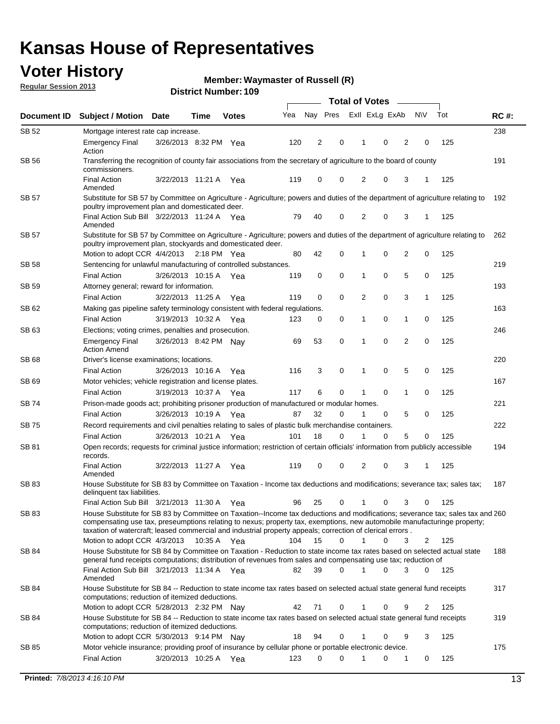## **Voter History**

**Waymaster of Russell (R)**

**Regular Session 2013**

|              |                                                                                                                                                                                                                                                                                                                                                                                                         |                       |               |              |     |          |             | <b>Total of Votes</b> |   | $\frac{1}{2}$  |           |     |             |
|--------------|---------------------------------------------------------------------------------------------------------------------------------------------------------------------------------------------------------------------------------------------------------------------------------------------------------------------------------------------------------------------------------------------------------|-----------------------|---------------|--------------|-----|----------|-------------|-----------------------|---|----------------|-----------|-----|-------------|
| Document ID  | <b>Subject / Motion Date</b>                                                                                                                                                                                                                                                                                                                                                                            |                       | Time          | <b>Votes</b> | Yea | Nay Pres |             | Exll ExLg ExAb        |   |                | <b>NV</b> | Tot | <b>RC#:</b> |
| SB 52        | Mortgage interest rate cap increase.                                                                                                                                                                                                                                                                                                                                                                    |                       |               |              |     |          |             |                       |   |                |           |     | 238         |
|              | <b>Emergency Final</b><br>Action                                                                                                                                                                                                                                                                                                                                                                        | 3/26/2013 8:32 PM Yea |               |              | 120 | 2        | 0           | 1                     | 0 | 2              | 0         | 125 |             |
| <b>SB 56</b> | Transferring the recognition of county fair associations from the secretary of agriculture to the board of county<br>commissioners.                                                                                                                                                                                                                                                                     |                       |               |              |     |          |             |                       |   |                |           |     | 191         |
|              | <b>Final Action</b><br>Amended                                                                                                                                                                                                                                                                                                                                                                          | 3/22/2013 11:21 A     |               | Yea          | 119 | 0        | 0           | 2                     | 0 | 3              | 1         | 125 |             |
| <b>SB 57</b> | Substitute for SB 57 by Committee on Agriculture - Agriculture; powers and duties of the department of agriculture relating to<br>poultry improvement plan and domesticated deer.                                                                                                                                                                                                                       |                       |               |              |     |          |             |                       |   |                |           |     | 192         |
|              | Final Action Sub Bill 3/22/2013 11:24 A Yea<br>Amended                                                                                                                                                                                                                                                                                                                                                  |                       |               |              | 79  | 40       | 0           | 2                     | 0 | 3              | 1         | 125 |             |
| SB 57        | Substitute for SB 57 by Committee on Agriculture - Agriculture; powers and duties of the department of agriculture relating to<br>poultry improvement plan, stockyards and domesticated deer.                                                                                                                                                                                                           |                       |               |              |     |          |             |                       |   |                |           |     | 262         |
|              | Motion to adopt CCR 4/4/2013                                                                                                                                                                                                                                                                                                                                                                            |                       | $2:18$ PM Yea |              | 80  | 42       | 0           |                       | 0 | 2              | 0         | 125 |             |
| SB 58        | Sentencing for unlawful manufacturing of controlled substances.                                                                                                                                                                                                                                                                                                                                         |                       |               |              |     |          |             |                       |   |                |           |     | 219         |
|              | <b>Final Action</b>                                                                                                                                                                                                                                                                                                                                                                                     | 3/26/2013 10:15 A     |               | Yea          | 119 | 0        | 0           | 1                     | 0 | 5              | 0         | 125 |             |
| <b>SB 59</b> | Attorney general; reward for information.                                                                                                                                                                                                                                                                                                                                                               |                       |               |              |     |          |             |                       |   |                |           |     | 193         |
|              | <b>Final Action</b>                                                                                                                                                                                                                                                                                                                                                                                     | 3/22/2013 11:25 A     |               | Yea          | 119 | 0        | $\mathbf 0$ | 2                     | 0 | 3              | 1         | 125 |             |
| SB 62        | Making gas pipeline safety terminology consistent with federal regulations.                                                                                                                                                                                                                                                                                                                             |                       |               |              |     |          |             |                       |   |                |           |     | 163         |
|              | <b>Final Action</b>                                                                                                                                                                                                                                                                                                                                                                                     | 3/19/2013 10:32 A     |               | Yea          | 123 | 0        | 0           | 1                     | 0 | 1              | 0         | 125 |             |
| SB 63        | Elections; voting crimes, penalties and prosecution.                                                                                                                                                                                                                                                                                                                                                    |                       |               |              |     |          |             |                       |   |                |           |     | 246         |
|              | <b>Emergency Final</b><br><b>Action Amend</b>                                                                                                                                                                                                                                                                                                                                                           | 3/26/2013 8:42 PM Nay |               |              | 69  | 53       | 0           | 1                     | 0 | $\overline{2}$ | 0         | 125 |             |
| SB 68        | Driver's license examinations; locations.                                                                                                                                                                                                                                                                                                                                                               |                       |               |              |     |          |             |                       | 0 | 5              |           |     | 220         |
| SB 69        | <b>Final Action</b><br>Motor vehicles; vehicle registration and license plates.                                                                                                                                                                                                                                                                                                                         | 3/26/2013 10:16 A     |               | Yea          | 116 | 3        | 0           | 1                     |   |                | 0         | 125 | 167         |
|              | <b>Final Action</b>                                                                                                                                                                                                                                                                                                                                                                                     | 3/19/2013 10:37 A     |               | Yea          | 117 | 6        | 0           | 1                     | 0 | 1              | 0         | 125 |             |
| SB 74        | Prison-made goods act; prohibiting prisoner production of manufactured or modular homes.                                                                                                                                                                                                                                                                                                                |                       |               |              |     |          |             |                       |   |                |           |     | 221         |
|              | <b>Final Action</b>                                                                                                                                                                                                                                                                                                                                                                                     | 3/26/2013 10:19 A     |               | Yea          | 87  | 32       | 0           | 1                     | 0 | 5              | 0         | 125 |             |
| SB 75        | Record requirements and civil penalties relating to sales of plastic bulk merchandise containers.                                                                                                                                                                                                                                                                                                       |                       |               |              |     |          |             |                       |   |                |           |     | 222         |
|              | <b>Final Action</b>                                                                                                                                                                                                                                                                                                                                                                                     | 3/26/2013 10:21 A     |               | Yea          | 101 | 18       | 0           |                       | 0 | 5              | 0         | 125 |             |
| SB 81        | Open records; requests for criminal justice information; restriction of certain officials' information from publicly accessible<br>records.                                                                                                                                                                                                                                                             |                       |               |              |     |          |             |                       |   |                |           |     | 194         |
|              | <b>Final Action</b><br>Amended                                                                                                                                                                                                                                                                                                                                                                          | 3/22/2013 11:27 A     |               | Yea          | 119 | 0        | 0           | 2                     | 0 | 3              | 1         | 125 |             |
| SB 83        | House Substitute for SB 83 by Committee on Taxation - Income tax deductions and modifications; severance tax; sales tax;<br>delinquent tax liabilities.                                                                                                                                                                                                                                                 |                       |               |              |     |          |             |                       |   |                |           |     | 187         |
|              | Final Action Sub Bill 3/21/2013 11:30 A                                                                                                                                                                                                                                                                                                                                                                 |                       |               | Yea          | 96  | 25       | 0           | 1                     | 0 | 3              | 0         | 125 |             |
| SB 83        | House Substitute for SB 83 by Committee on Taxation--Income tax deductions and modifications; severance tax; sales tax and 260<br>compensating use tax, preseumptions relating to nexus; property tax, exemptions, new automobile manufacturinge property;<br>taxation of watercraft; leased commercial and industrial property appeals; correction of clerical errors.<br>Motion to adopt CCR 4/3/2013 |                       | 10:35 A Yea   |              | 104 | 15       | $\Omega$    | $\mathbf{1}$          | 0 | 3              | 2         | 125 |             |
| SB 84        | House Substitute for SB 84 by Committee on Taxation - Reduction to state income tax rates based on selected actual state                                                                                                                                                                                                                                                                                |                       |               |              |     |          |             |                       |   |                |           |     | 188         |
|              | general fund receipts computations; distribution of revenues from sales and compensating use tax; reduction of<br>Final Action Sub Bill 3/21/2013 11:34 A Yea                                                                                                                                                                                                                                           |                       |               |              | 82  | 39       | $\Omega$    |                       | 0 | 3              | $\Omega$  | 125 |             |
|              | Amended                                                                                                                                                                                                                                                                                                                                                                                                 |                       |               |              |     |          |             |                       |   |                |           |     |             |
| SB 84        | House Substitute for SB 84 -- Reduction to state income tax rates based on selected actual state general fund receipts<br>computations; reduction of itemized deductions.                                                                                                                                                                                                                               |                       |               |              |     |          |             |                       |   |                |           |     | 317         |
|              | Motion to adopt CCR 5/28/2013 2:32 PM Nay                                                                                                                                                                                                                                                                                                                                                               |                       |               |              | 42  | 71       | 0           |                       | 0 | 9              | 2         | 125 |             |
| SB 84        | House Substitute for SB 84 -- Reduction to state income tax rates based on selected actual state general fund receipts<br>computations; reduction of itemized deductions.                                                                                                                                                                                                                               |                       |               |              |     |          |             |                       |   |                |           |     | 319         |
|              | Motion to adopt CCR 5/30/2013 9:14 PM Nav                                                                                                                                                                                                                                                                                                                                                               |                       |               |              | 18  | 94       | 0           |                       | 0 | 9              | 3         | 125 |             |
| SB 85        | Motor vehicle insurance; providing proof of insurance by cellular phone or portable electronic device.<br><b>Final Action</b>                                                                                                                                                                                                                                                                           | 3/20/2013 10:25 A Yea |               |              | 123 | 0        | $\Omega$    |                       | 0 | 1              | 0         | 125 | 175         |
|              |                                                                                                                                                                                                                                                                                                                                                                                                         |                       |               |              |     |          |             |                       |   |                |           |     |             |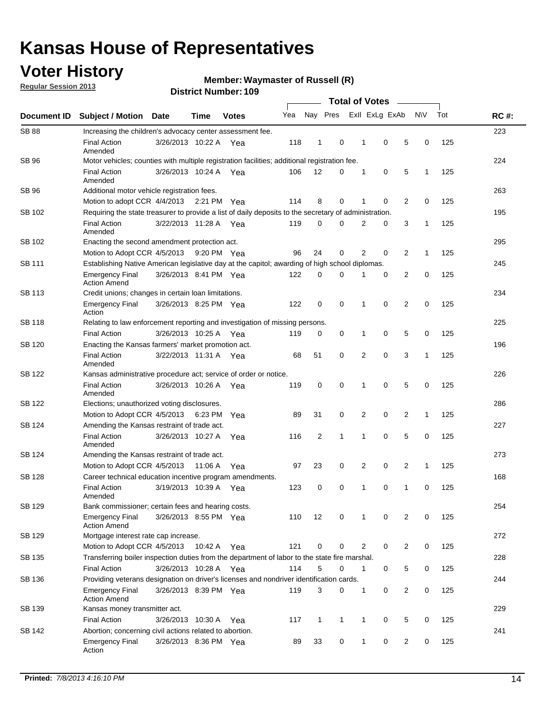## **Voter History**

**Regular Session 2013**

**Waymaster of Russell (R)**

|                    |                                                                                                       | טטו דיסטווווטרו ועווסו |             |              |     | <b>Total of Votes</b> |              |  |                |                |                |              |     |             |
|--------------------|-------------------------------------------------------------------------------------------------------|------------------------|-------------|--------------|-----|-----------------------|--------------|--|----------------|----------------|----------------|--------------|-----|-------------|
| <b>Document ID</b> | <b>Subject / Motion</b>                                                                               | <b>Date</b>            | <b>Time</b> | <b>Votes</b> | Yea |                       | Nay Pres     |  |                | Exll ExLg ExAb |                | <b>NV</b>    | Tot | <b>RC#:</b> |
| <b>SB 88</b>       | Increasing the children's advocacy center assessment fee.                                             |                        |             |              |     |                       |              |  |                |                |                |              |     | 223         |
|                    | <b>Final Action</b><br>Amended                                                                        | 3/26/2013 10:22 A Yea  |             |              | 118 | $\mathbf{1}$          | 0            |  | 1              | 0              | 5              | 0            | 125 |             |
| SB 96              | Motor vehicles; counties with multiple registration facilities; additional registration fee.          |                        |             |              |     |                       |              |  |                |                |                |              |     | 224         |
|                    | <b>Final Action</b><br>Amended                                                                        | 3/26/2013 10:24 A      |             | Yea          | 106 | 12                    | 0            |  | 1              | 0              | 5              | 1            | 125 |             |
| SB 96              | Additional motor vehicle registration fees.                                                           |                        |             |              |     |                       |              |  |                |                |                |              |     | 263         |
|                    | Motion to adopt CCR 4/4/2013                                                                          |                        | 2:21 PM Yea |              | 114 | 8                     | 0            |  | 1              | 0              | 2              | 0            | 125 |             |
| SB 102             | Requiring the state treasurer to provide a list of daily deposits to the secretary of administration. |                        |             |              |     |                       |              |  |                |                |                |              |     | 195         |
|                    | <b>Final Action</b><br>Amended                                                                        | 3/22/2013 11:28 A      |             | Yea          | 119 | 0                     | 0            |  | 2              | 0              | 3              | 1            | 125 |             |
| SB 102             | Enacting the second amendment protection act.                                                         |                        |             |              |     |                       |              |  |                |                |                |              |     | 295         |
|                    | Motion to Adopt CCR 4/5/2013                                                                          |                        | 9:20 PM Yea |              | 96  | 24                    | 0            |  | $\overline{2}$ | $\mathbf 0$    | $\overline{2}$ | 1            | 125 |             |
| SB 111             | Establishing Native American legislative day at the capitol; awarding of high school diplomas.        |                        |             |              |     |                       |              |  |                |                |                |              |     | 245         |
|                    | <b>Emergency Final</b><br><b>Action Amend</b>                                                         | 3/26/2013 8:41 PM Yea  |             |              | 122 | 0                     | $\Omega$     |  |                | 0              | $\overline{2}$ | 0            | 125 |             |
| SB 113             | Credit unions; changes in certain loan limitations.                                                   |                        |             |              |     |                       |              |  |                |                |                |              |     | 234         |
|                    | <b>Emergency Final</b><br>Action                                                                      | 3/26/2013 8:25 PM Yea  |             |              | 122 | 0                     | 0            |  | 1              | $\mathbf 0$    | $\overline{2}$ | 0            | 125 |             |
| <b>SB 118</b>      | Relating to law enforcement reporting and investigation of missing persons.                           |                        |             |              |     |                       |              |  |                |                |                |              |     | 225         |
|                    | <b>Final Action</b>                                                                                   | 3/26/2013 10:25 A      |             | Yea          | 119 | 0                     | 0            |  | 1              | 0              | 5              | 0            | 125 |             |
| SB 120             | Enacting the Kansas farmers' market promotion act.                                                    |                        |             |              |     |                       |              |  |                |                |                |              |     | 196         |
|                    | <b>Final Action</b><br>Amended                                                                        | 3/22/2013 11:31 A Yea  |             |              | 68  | 51                    | 0            |  | 2              | $\mathbf 0$    | 3              | 1            | 125 |             |
| SB 122             | Kansas administrative procedure act; service of order or notice.<br>226                               |                        |             |              |     |                       |              |  |                |                |                |              |     |             |
|                    | <b>Final Action</b><br>Amended                                                                        | 3/26/2013 10:26 A Yea  |             |              | 119 | 0                     | $\mathbf 0$  |  | 1              | 0              | 5              | 0            | 125 |             |
| SB 122             | Elections; unauthorized voting disclosures.                                                           |                        |             |              |     |                       |              |  |                |                |                |              |     | 286         |
|                    | Motion to Adopt CCR 4/5/2013                                                                          |                        | 6:23 PM     | Yea          | 89  | 31                    | 0            |  | 2              | 0              | $\overline{2}$ | $\mathbf{1}$ | 125 |             |
| SB 124             | Amending the Kansas restraint of trade act.                                                           |                        |             |              |     |                       |              |  |                |                |                |              |     | 227         |
|                    | <b>Final Action</b><br>Amended                                                                        | 3/26/2013 10:27 A      |             | Yea          | 116 | 2                     | 1            |  | 1              | $\mathbf 0$    | 5              | $\mathbf 0$  | 125 |             |
| SB 124             | Amending the Kansas restraint of trade act.                                                           |                        |             |              |     |                       |              |  |                |                |                |              |     | 273         |
|                    | Motion to Adopt CCR 4/5/2013                                                                          |                        | 11:06 A     | Yea          | 97  | 23                    | 0            |  | 2              | 0              | $\overline{2}$ | 1            | 125 |             |
| SB 128             | Career technical education incentive program amendments.                                              |                        |             |              |     |                       |              |  |                |                |                |              |     | 168         |
|                    | <b>Final Action</b><br>Amended                                                                        | 3/19/2013 10:39 A      |             | Yea          | 123 | 0                     | 0            |  | 1              | 0              | 1              | 0            | 125 |             |
| SB 129             | Bank commissioner; certain fees and hearing costs.                                                    |                        |             |              |     |                       |              |  |                |                |                |              |     | 254         |
|                    | <b>Emergency Final</b><br><b>Action Amend</b>                                                         | 3/26/2013 8:55 PM Yea  |             |              | 110 | 12                    | 0            |  | 1              | 0              | $\overline{2}$ | 0            | 125 |             |
| SB 129             | Mortgage interest rate cap increase.                                                                  |                        |             |              |     |                       |              |  |                |                |                |              |     | 272         |
|                    | Motion to Adopt CCR 4/5/2013                                                                          |                        | 10:42 A Yea |              | 121 | $\mathbf 0$           | 0            |  | 2              | 0              | $\overline{2}$ | 0            | 125 |             |
| SB 135             | Transferring boiler inspection duties from the department of labor to the state fire marshal.         |                        |             |              |     |                       |              |  |                |                |                |              |     | 228         |
|                    | <b>Final Action</b>                                                                                   | 3/26/2013 10:28 A Yea  |             |              | 114 | 5                     | 0            |  | $\mathbf{1}$   | 0              | 5              | 0            | 125 |             |
| SB 136             | Providing veterans designation on driver's licenses and nondriver identification cards.               |                        |             |              |     |                       |              |  |                |                |                |              |     | 244         |
|                    | <b>Emergency Final</b><br><b>Action Amend</b>                                                         | 3/26/2013 8:39 PM Yea  |             |              | 119 | 3                     | 0            |  | $\mathbf{1}$   | 0              | $\overline{2}$ | 0            | 125 |             |
| SB 139             | Kansas money transmitter act.                                                                         |                        |             |              |     |                       |              |  |                |                |                |              |     | 229         |
|                    | <b>Final Action</b>                                                                                   | 3/26/2013 10:30 A Yea  |             |              | 117 | $\mathbf{1}$          | $\mathbf{1}$ |  | $\mathbf{1}$   | 0              | 5              | 0            | 125 |             |
| SB 142             | Abortion; concerning civil actions related to abortion.                                               |                        |             |              |     |                       |              |  |                |                |                |              |     | 241         |
|                    | Emergency Final<br>Action                                                                             | 3/26/2013 8:36 PM Yea  |             |              | 89  | 33                    | 0            |  | 1              | 0              | $\overline{2}$ | 0            | 125 |             |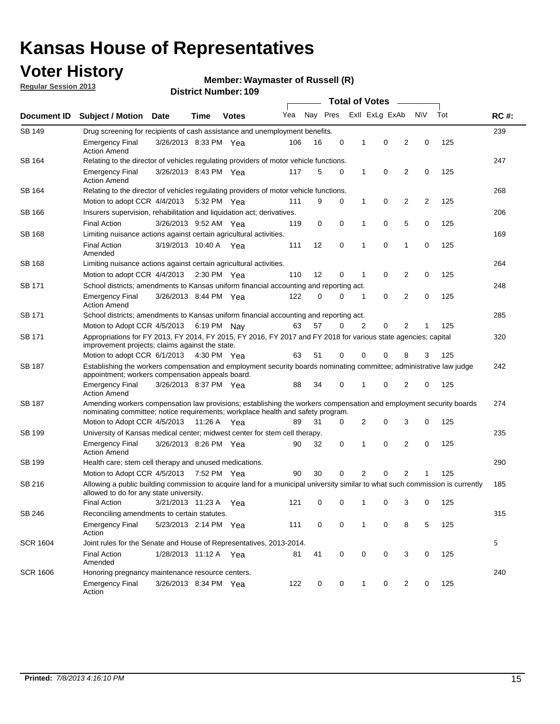## **Voter History**

**Regular Session 2013**

#### **Waymaster of Russell (R)**

|                 |                                                                                                                                                                                                       |                       |             |               | <b>Total of Votes</b> |          |   |                |                |                |     |     |             |
|-----------------|-------------------------------------------------------------------------------------------------------------------------------------------------------------------------------------------------------|-----------------------|-------------|---------------|-----------------------|----------|---|----------------|----------------|----------------|-----|-----|-------------|
| Document ID     | <b>Subject / Motion Date</b>                                                                                                                                                                          |                       | Time        | <b>Votes</b>  | Yea                   | Nay Pres |   |                | Exll ExLg ExAb |                | N\V | Tot | <b>RC#:</b> |
| SB 149          | Drug screening for recipients of cash assistance and unemployment benefits.                                                                                                                           |                       |             |               |                       |          |   |                |                |                |     |     | 239         |
|                 | <b>Emergency Final</b><br><b>Action Amend</b>                                                                                                                                                         | 3/26/2013 8:33 PM Yea |             |               | 106                   | 16       | 0 | 1              | 0              | 2              | 0   | 125 |             |
| SB 164          | Relating to the director of vehicles regulating providers of motor vehicle functions.                                                                                                                 |                       |             |               |                       |          |   |                |                |                |     |     | 247         |
|                 | <b>Emergency Final</b><br><b>Action Amend</b>                                                                                                                                                         | 3/26/2013 8:43 PM Yea |             |               | 117                   | 5        | 0 | $\mathbf{1}$   | 0              | $\overline{2}$ | 0   | 125 |             |
| SB 164          | Relating to the director of vehicles regulating providers of motor vehicle functions.                                                                                                                 |                       |             |               |                       |          |   |                |                |                |     |     | 268         |
|                 | Motion to adopt CCR 4/4/2013 5:32 PM Yea                                                                                                                                                              |                       |             |               | 111                   | 9        | 0 | 1              | 0              | $\overline{2}$ | 2   | 125 |             |
| SB 166          | Insurers supervision, rehabilitation and liquidation act; derivatives.                                                                                                                                |                       |             |               |                       |          |   |                |                |                |     |     | 206         |
|                 | <b>Final Action</b>                                                                                                                                                                                   | 3/26/2013 9:52 AM Yea |             |               | 119                   | 0        | 0 | 1              | 0              | 5              | 0   | 125 |             |
| <b>SB 168</b>   | Limiting nuisance actions against certain agricultural activities.                                                                                                                                    |                       |             |               |                       |          |   |                |                |                |     |     | 169         |
|                 | <b>Final Action</b><br>Amended                                                                                                                                                                        | 3/19/2013 10:40 A Yea |             |               | 111                   | 12       | 0 | 1              | $\mathbf 0$    | 1              | 0   | 125 |             |
| SB 168          | Limiting nuisance actions against certain agricultural activities.                                                                                                                                    |                       |             |               |                       |          |   |                |                |                |     |     | 264         |
|                 | Motion to adopt CCR 4/4/2013                                                                                                                                                                          |                       |             | $2:30$ PM Yea | 110                   | 12       | 0 | 1              | 0              | 2              | 0   | 125 |             |
| SB 171          | School districts; amendments to Kansas uniform financial accounting and reporting act.                                                                                                                |                       |             |               |                       |          |   |                |                |                |     |     | 248         |
|                 | <b>Emergency Final</b><br><b>Action Amend</b>                                                                                                                                                         | 3/26/2013 8:44 PM Yea |             |               | 122                   | 0        | 0 | 1              | 0              | 2              | 0   | 125 |             |
| SB 171          | School districts; amendments to Kansas uniform financial accounting and reporting act.                                                                                                                |                       |             |               |                       |          |   |                |                |                |     |     | 285         |
|                 | Motion to Adopt CCR 4/5/2013 6:19 PM Nay                                                                                                                                                              |                       |             |               | 63                    | 57       | 0 | $\overline{2}$ | 0              | 2              | 1   | 125 |             |
| SB 171          | Appropriations for FY 2013, FY 2014, FY 2015, FY 2016, FY 2017 and FY 2018 for various state agencies; capital<br>improvement projects; claims against the state.                                     |                       |             |               |                       |          |   |                |                |                |     |     | 320         |
|                 | Motion to adopt CCR 6/1/2013 4:30 PM Yea                                                                                                                                                              |                       |             |               | 63                    | 51       | 0 | 0              | 0              | 8              | 3   | 125 |             |
| SB 187          | Establishing the workers compensation and employment security boards nominating committee; administrative law judge<br>appointment; workers compensation appeals board.                               |                       |             |               |                       |          |   |                |                |                |     | 242 |             |
|                 | <b>Emergency Final</b><br><b>Action Amend</b>                                                                                                                                                         | 3/26/2013 8:37 PM Yea |             |               | 88                    | 34       | 0 | 1              | 0              | 2              | 0   | 125 |             |
| SB 187          | Amending workers compensation law provisions; establishing the workers compensation and employment security boards<br>nominating committee; notice requirements; workplace health and safety program. |                       |             |               |                       |          |   |                |                |                |     |     | 274         |
|                 | Motion to Adopt CCR 4/5/2013 11:26 A Yea                                                                                                                                                              |                       |             |               | 89                    | 31       | 0 | 2              | 0              | 3              | 0   | 125 |             |
| SB 199          | University of Kansas medical center; midwest center for stem cell therapy.                                                                                                                            |                       |             |               |                       |          |   |                |                |                |     |     | 235         |
|                 | Emergency Final<br><b>Action Amend</b>                                                                                                                                                                | 3/26/2013 8:26 PM Yea |             |               | 90                    | 32       | 0 | 1              | 0              | 2              | 0   | 125 |             |
| SB 199          | Health care; stem cell therapy and unused medications.                                                                                                                                                |                       |             |               |                       |          |   |                |                |                |     |     | 290         |
|                 | Motion to Adopt CCR 4/5/2013                                                                                                                                                                          |                       | 7:52 PM Yea |               | 90                    | 30       | 0 | $\overline{2}$ | 0              | 2              | 1   | 125 |             |
| SB 216          | Allowing a public building commission to acquire land for a municipal university similar to what such commission is currently<br>allowed to do for any state university.                              |                       |             |               |                       |          |   |                |                |                | 185 |     |             |
|                 | <b>Final Action</b>                                                                                                                                                                                   | 3/21/2013 11:23 A Yea |             |               | 121                   | 0        | 0 | 1              | 0              | 3              | 0   | 125 |             |
| SB 246          | Reconciling amendments to certain statutes.                                                                                                                                                           |                       |             |               |                       |          |   |                |                |                |     |     | 315         |
|                 | <b>Emergency Final</b><br>Action                                                                                                                                                                      | 5/23/2013 2:14 PM Yea |             |               | 111                   | 0        | 0 | 1              | 0              | 8              | 5   | 125 |             |
| <b>SCR 1604</b> | Joint rules for the Senate and House of Representatives, 2013-2014.                                                                                                                                   |                       |             |               |                       |          |   |                |                |                |     |     | 5           |
|                 | <b>Final Action</b><br>Amended                                                                                                                                                                        | 1/28/2013 11:12 A Yea |             |               | 81                    | 41       | 0 | 0              | 0              | 3              | 0   | 125 |             |
| <b>SCR 1606</b> | Honoring pregnancy maintenance resource centers.                                                                                                                                                      |                       |             |               |                       |          |   |                |                |                |     |     | 240         |
|                 | <b>Emergency Final</b><br>Action                                                                                                                                                                      | 3/26/2013 8:34 PM Yea |             |               | 122                   | 0        | 0 | 1              | 0              | 2              | 0   | 125 |             |